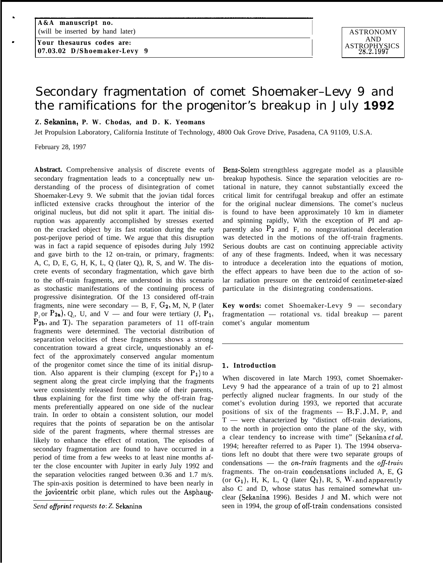**Your thesaurus codes are: 07.03.02 D/Shoemaker-Levy 9** 

# Secondary fragmentation of comet Shoemaker–Levy 9 and the ramifications for the progenitor's breakup in July **1992**

# **Z. Sekanina, P. W. Chodas, and D. K. Yeomans**

Jet Propulsion Laboratory, California Institute of Technology, 4800 Oak Grove Drive, Pasadena, CA 91109, U.S.A.

February 28, 1997

.

**Abstract.** Comprehensive analysis of discrete events of secondary fragmentation leads to a conceptually new understanding of the process of disintegration of comet Shoemaker-Levy 9. We submit that the jovian tidal forces inflicted extensive cracks throughout the interior of the original nucleus, but did not split it apart. The initial disruption was apparently accomplished by stresses exerted on the cracked object by its fast rotation during the early post-perijove period of time. We argue that this disruption was in fact a rapid sequence of episodes during July 1992 and gave birth to the 12 on-train, or primary, fragments: A, C, D, E, G, H, K, L, Q (later Q<sub>1</sub>), R, S, and W. The discrete events of secondary fragmentation, which gave birth to the off-train fragments, are understood in this scenario as stochastic manifestations of the continuing process of progressive disintegration. Of the 13 considered off-train fragments, nine were secondary  $-$  B, F,  $G_2$ , M, N, P (later  $P_2$  or  $P_2$ a),  $Q_2$ , U, and V — and four were tertiary (J,  $P_1$ ,  $P_{2b}$ , and T). The separation parameters of 11 off-train fragments were determined. The vectorial distribution of separation velocities of these fragments shows a strong concentration toward a great circle, unquestionably an effect of the approximately conserved angular momentum of the progenitor comet since the time of its initial disruption. Also apparent is their clumping (except for  $P_1$ ) to a segment along the great circle implying that the fragments were consistently released from one side of their parents, thus explaining for the first time why the off-train fragments preferentially appeared on one side of the nuclear train. In order to obtain a consistent solution, our model requires that the points of separation be on the antisolar side of the parent fragments, where thermal stresses are likely to enhance the effect of rotation, The episodes of secondary fragmentation are found to have occurred in a period of time from a few weeks to at least nine months after the close encounter with Jupiter in early July 1992 and the separation velocities ranged between 0.36 and 1.7 m/s. The spin-axis position is determined to have been nearly in the jovicentric orbit plane, which rules out the Asphaug-

*Send offprint requests to: Z.* Sekanina

Benz-Solem strengthless aggregate model as a plausible breakup hypothesis. Since the separation velocities are rotational in nature, they cannot substantially exceed the critical limit for centrifugal breakup and offer an estimate for the original nuclear dimensions. The comet's nucleus is found to have been approximately 10 km in diameter and spinning rapidly, With the exception of PI and apparently also  $P_2$  and F, no nongravitational deceleration was detected in the motions of the off-train fragments. Serious doubts are cast on continuing appreciable activity of any of these fragments. Indeed, when it was necessary to introduce a deceleration into the equations of motion, the effect appears to have been due to the action of solar radiation pressure on the centroid of centimeter-sized particulate in the disintegrating condensations.

**Key words:** comet Shoemaker-Levy 9 — secondary fragmentation — rotational vs. tidal breakup — parent comet's angular momentum

## 1, **Introduction**

When discovered in late March 1993, comet Shoemaker-Levy 9 had the appearance of a train of up to 21 almost perfectly aligned nuclear fragments. In our study of the comet's evolution during 1993, we reported that accurate positions of six of the fragments  $-$  B, F, J, M, P, and T — were characterized by "distinct off-train deviations, to the north in projection onto the plane of the sky, with a clear tendency to increase with time" (Sekanina  $ct$  al. 1994; hereafter referred to as Paper 1). The 1994 observations left no doubt that there were two separate groups of condensations — the *on-train* fragments and the *off-train* fragments. The on-train condensations included  $A$ , E, G (or  $G_1$ ), H, K, L, Q (later  $Q_1$ ), R, S, W. and apparently also C and D, whose status has remained somewhat unclear (Sekanina 1996). Besides J and M. which were not seen in 1994, the group of off-train condensations consisted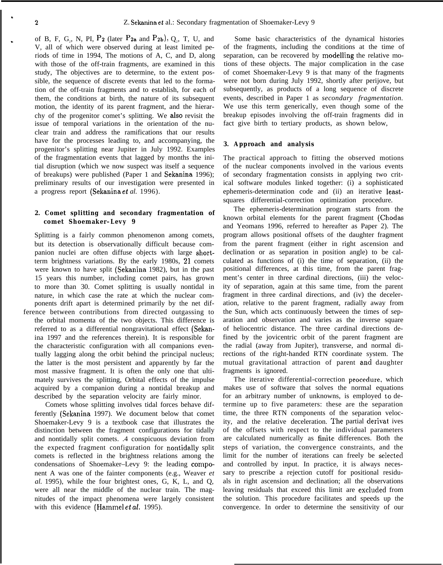.

of B, F, G<sub>2</sub>, N, PI, P<sub>2</sub> (later P<sub>2a</sub> and P<sub>2b</sub>), Q<sub>2</sub>, T, U, and V, all of which were observed during at least limited periods of time in 1994, The motions of A, C, and D, along with those of the off-train fragments, are examined in this study, The objectives are to determine, to the extent possible, the sequence of discrete events that led to the formation of the off-train fragments and to establish, for each of them, the conditions at birth, the nature of its subsequent motion, the identity of its parent fragment, and the hierarchy of the progenitor comet's splitting. We also revisit the issue of temporal variations in the orientation of the nuclear train and address the ramifications that our results have for the processes leading to, and accompanying, the progenitor's splitting near Jupiter in July 1992. Examples of the fragmentation events that lagged by months the initial disruption (which we now suspect was itself a sequence of breakups) were published (Paper 1 and Sekanina 1996); preliminary results of our investigation were presented in a progress report (Sekanina et *al.* 1996).

## **2. Comet splitting and secondary fragmentation of comet Shoemaker–Levy 9**

Splitting is a fairly common phenomenon among comets, but its detection is observationally difficult because companion nuclei are often diffuse objects with large shortterm brightness variations. By the early 1980s, 21 comets were known to have split (Sekanina 1982), but in the past 15 years this number, including comet pairs, has grown to more than 30. Comet splitting is usually nontidal in nature, in which case the rate at which the nuclear components drift apart is determined primarily by the net dif-

ference between contributions from directed outgassing to the orbital momenta of the two objects. This difference is referred to as a differential nongravitational effect (Sekanina 1997 and the references therein). It is responsible for the characteristic configuration with all companions eventually lagging along the orbit behind the principal nucleus; the latter is the most persistent and apparently by far the most massive fragment. It is often the only one that ultimately survives the splitting, Orbital effects of the impulse acquired by a companion during a nontidal breakup and described by the separation velocity are fairly minor.

Comets whose splitting involves tidal forces behave differently (Sckanina 1997). We document below that comet Shoemaker-Levy 9 is a textbook case that illustrates the distinction between the fragment configurations for tidally and nontidally split comets. .4 conspicuous deviation from the expected fragment configuration for nontidally split comets is reflected in the brightness relations among the condensations of Shoemaker–Levy 9: the leading component A was one of the fainter components (e.g., Weaver *et al.* 1995), while the four brightest ones, G, K, L, and Q, were all near the middle of the nuclear train. The magnitudes of the impact phenomena were largely consistent with this evidence (Hammel et *al.* 1995).

Some basic characteristics of the dynamical histories of the fragments, including the conditions at the time of separation, can be recovered by modelling the relative motions of these objects. The major complication in the case of comet Shoemaker-Levy 9 is that many of the fragments were not born during July 1992, shortly after perijove, but subsequently, as products of a long sequence of discrete events, described in Paper 1 as *secondary fragmentation.* We use this term generically, even though some of the breakup episodes involving the off-train fragments did in fact give birth to tertiary products, as shown below,

## **3. Approach and analysis**

The practical approach to fitting the observed motions of the nuclear components involved in the various events of secondary fragmentation consists in applying two critical software modules linked together: (i) a sophisticated ephemeris-determination code and (ii) an iterative leastsquares differential-correction optimization procedure.

The ephemeris-determination program starts from the known orbital elements for the parent fragment (Chodas and Yeomans 1996, referred to hereafter as Paper 2). The program allows positional offsets of the daughter fragment from the parent fragment (either in right ascension and declination or as separation in position angle) to be calculated as functions of (i) the time of separation, (ii) the positional differences, at this time, from the parent fragment's center in three cardinal directions, (iii) the velocity of separation, again at this same time, from the parent fragment in three cardinal directions, and (iv) the deceleration, relative to the parent fragment, radially away from the Sun, which acts continuously between the times of separation and observation and varies as the inverse square of heliocentric distance. The three cardinal directions defined by the jovicentric orbit of the parent fragment are the radial (away from Jupiter), transverse, and normal directions of the right-handed RTN coordinate system. The mutual gravitational attraction of parent and daughter fragments is ignored.

The iterative differential-correction procedure, which makes use of software that solves the normal equations for an arbitrary number of unknowns, is employed to determine up to five parameters: these are the separation time, the three RTN components of the separation velocity, and the relative deceleration. The partial derivat ives of the offsets with respect to the individual parameters are calculated numerically as finite differences. Both the steps of variation, the convergence constraints, and the limit for the number of iterations can freely be selected and controlled by input. In practice, it is always necessary to prescribe a rejection cutoff for positional residuals in right ascension and declination; all the observations leaving residuals that exceed this limit are excluded from the solution. This procedure facilitates and speeds up the convergence. In order to determine the sensitivity of our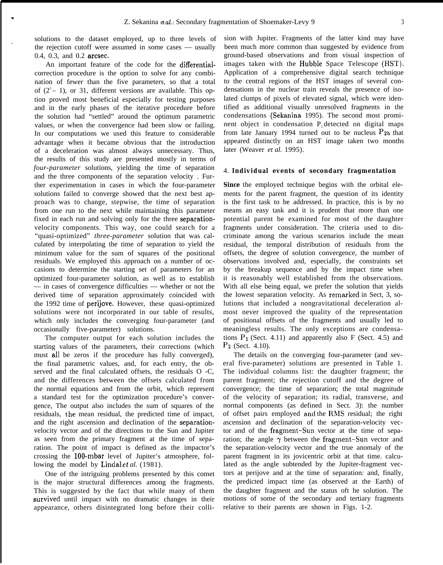solutions to the dataset employed, up to three levels of the rejection cutoff were assumed in some cases — usually 0.4, 0.3, and 0.2 arcsec.

.

.

An important feature of the code for the differentialcorrection procedure is the option to solve for any combination of fewer than the five parameters, so that a total of  $(2<sup>5</sup> - 1)$ , or 31, different versions are available. This option proved most beneficial especially for testing purposes and in the early phases of the iterative procedure before the solution had "settled" around the optimum parametric values, or when the convergence had been slow or failing. In our computations we used this feature to considerable advantage when it became obvious that the introduction of a deceleration was almost always unnecessary. Thus, the results of this study are presented mostly in terms of *four-parameter* solutions, yielding the time of separation and the three components of the separation velocity . Further experimentation in cases in which the four-parameter solutions failed to converge showed that the next best approach was to change, stepwise, the time of separation from one run to the next while maintaining this parameter fixed in each run and solving only for the three separationvelocity components. This way, one could search for a "quasi-optimized" *three-parameter* solution that was calculated by interpolating the time of separation to yield the minimum value for the sum of squares of the positional residuals. We employed this approach on a number of occasions to determine the starting set of parameters for an optimized four-parameter solution, as well as to establish — in cases of convergence difficulties — whether or not the derived time of separation approximately coincided with the 1992 time of perijove. However, these quasi-optimized solutions were not incorporated in our table of results, which only includes the converging four-parameter (and occasionally five-parameter) solutions.

The computer output for each solution includes the starting values of the parameters, their corrections (which must all be zeros if the procedure has fully converged), the final parametric values, and, for each entry, the observed and the final calculated offsets, the residuals O -C, and the differences between the offsets calculated from the normal equations and from the orbit, which represent a standard test for the optimization procedure's convergence, The output also includes the sum of squares of the residuals, the mean residual, the predicted time of impact, and the right ascension and declination of the separationvelocity vector and of the directions to the Sun and Jupiter as seen from the primary fragment at the time of separation. The point of impact is defined as the impactor's crossing the 100-mbar level of Jupiter's atmosphere, following the model by **Lindal** *et al.* (1981).

One of the intriguing problems presented by this comet is the major structural differences among the fragments. This is suggested by the fact that while many of them survived until impact with no dramatic changes in their appearance, others disintegrated long before their colli-

sion with Jupiter. Fragments of the latter kind may have been much more common than suggested by evidence from ground-based observations and from visual inspection of images taken with the Hubble Space Telescope (HST). Application of a comprehensive digital search technique to the central regions of the HST images of several condensations in the nuclear train reveals the presence of isolated clumps of pixels of elevated signal, which were identified as additional visually unresolved fragments in the condensations (Sekanina 1995). The second most prominent object in condensation P<sub>2</sub> detected on digital maps from late January 1994 turned out to be nucleus  $P_{2b}$  that appeared distinctly on an HST image taken two months later (Weaver *et al.* 1995).

### 4. **Individual events of secondary fragmentation**

**Since** the employed technique begins with the orbital elements for the parent fragment, the question of its identity is the first task to be addressed. In practice, this is by no means an easy task and it is prudent that more than one potential parent be examined for most of the daughter fragments under consideration. The criteria used to discriminate among the various scenarios include the mean residual, the temporal distribution of residuals from the offsets, the degree of solution convergence, the number of observations involved and, especially, the constraints set by the breakup sequence and by the impact time when it is reasonably well established from the observations. With all else being equal, we prefer the solution that yields the lowest separation velocity. As remarked in Sect, 3, solutions that included a nongravitational deceleration almost never improved the quality of the representation of positional offsets of the fragments and usually led to meaningless results. The only exceptions are condensations  $P_1$  (Sect. 4.11) and apparently also F (Sect. 4.5) and  $P_2$  (Sect. 4.10).

The details on the converging four-parameter (and several five-parameter) solutions are presented in Table 1. The individual columns list: the daughter fragment; the parent fragment; the rejection cutoff and the degree of convergence; the time of separation; the total magnitude of the velocity of separation; its radial, transverse, and normal components (as defined in Sect. 3): the number of offset pairs employed ancl the RMS residual; the right ascension and declination of the separation-velocity vector and of the fragment-Sun vector at the time of separation; the angle  $\gamma$  between the fragment-Sun vector and the separation-velocity vector and the true anomaly of the parent fragment in its jovicentric orbit at that time. calculated as the angle subtended by the Jupiter-fragment vectors at perijove and at the time of separation: and, finally, the predicted impact time (as observed at the Earth) of the daughter fragment and the status oft he solution. The motions of some of the secondary and tertiary fragments relative to their parents are shown in Figs. 1-2.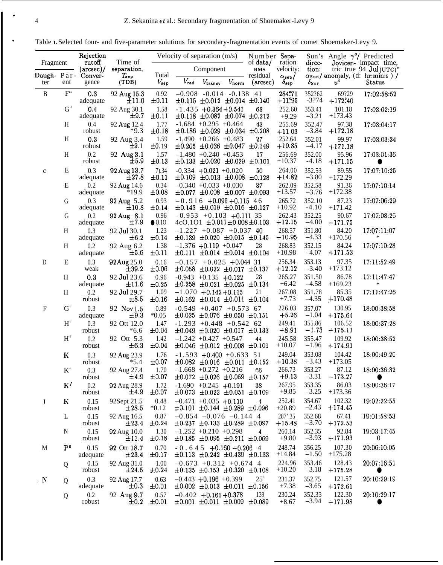.

. Table **1.** Selected four- and five-parameter solutions for secondary-fragmentation events of comet Shoemaker-Levy 9.

| Fragment                  |                                             | Rejection<br>cutoff           | Time of                   |                        | Velocity of separation $(m/s)$                                                 |                                       | Number Sepa-<br>of data/ | ration                                | direc-            | Sun's Angle $\gamma^a$ / Predicted | Jovicen- impact time,                                                                          |
|---------------------------|---------------------------------------------|-------------------------------|---------------------------|------------------------|--------------------------------------------------------------------------------|---------------------------------------|--------------------------|---------------------------------------|-------------------|------------------------------------|------------------------------------------------------------------------------------------------|
| Daugh-Par-                |                                             | $(\text{arcsec})/$<br>Conver- | separation.<br>$T_{sep}$  | Total                  | Component                                                                      |                                       | <b>RMS</b><br>residual   | velocity:                             | tion:             |                                    | tric true 94 $\mathrm{Jul}(\mathrm{UTC})^c$<br>$\alpha_{\text{Sun}}$ anomaly, (d: hr:min:s ) / |
| ter                       | ent                                         | gence                         | (TDB)                     | $V_{sep}$              | $V_{\rm rad}$                                                                  | $V_{\text{transv}}$<br>$V_{\tt norm}$ | (arcsec)                 | $\alpha_{\rm sep}/$<br>$\delta_{sep}$ | $\delta$ Sun      | $u^b$                              | <b>Status</b>                                                                                  |
| B                         | $F^{\mathfrak{c}}$                          | 0.3<br>adequate               | 92 Aug 15.3<br>±11.0      | 0.92<br>$\pm 0.11$     | $-0.908$<br>$\pm 0.115 \pm 0.012 \pm 0.014 \pm 0.140$                          | $-0.014$ $-0.138$ 41                  |                          | 284.71<br>$+11.95$                    | 352?62<br>$-3?74$ | 69?29<br>$+172.40$                 | 17:02:58:52                                                                                    |
|                           | $G^d$                                       | 0.4<br>adequate               | 92 Aug 30.1<br>$\pm 9.7$  | 1.58<br>±0.11          | $-1.435 + 0.364 + 0.541$<br>$\pm 0.118$ $\pm 0.082$ $\pm 0.074$ $\pm 0.212$    |                                       | 63                       | 252.60<br>$+9.29$                     | 353.41<br>$-3.21$ | 101.18<br>$+173.43$                | 17:03:02:19                                                                                    |
|                           | H                                           | 0.4<br>robust                 | 92 Aug 12.4<br>$*9.3$     | 1.77<br>$\pm 0.18$     | $-1,684$ +0.295 +0.464<br>$\pm 0.186 \pm 0.029 \pm 0.034$                      |                                       | 43<br>±0.208             | 255.69<br>$+11.03$                    | 352.47<br>$-3.84$ | 97.38<br>$+172.18$                 | 17:03:04:17                                                                                    |
|                           | H                                           | 0.3<br>robust                 | 92 Aug 3.4<br>$\pm 9.1$   | 1.59<br>±0.19          | $-1,490$ $+0.266$ $+0.483$<br>$\pm 0.205 \pm 0.036 \pm 0.047$                  |                                       | 27<br>±0.149             | 252.64<br>$+10.85$                    | 352.01<br>$-4.17$ | 99.97<br>$+171.18$                 | 17:03:03:34                                                                                    |
|                           | H                                           | 0.2<br>robust                 | 92 Aug 3.1<br>$\pm 5.9$   | 1.57<br>$\pm 0.13$     | $-1.480 + 0.240 + 0.453$<br>$\pm 0.133 \pm 0.020 \pm 0.029$                    |                                       | 17<br>±0.101             | 256.69<br>$+10.37$                    | 352.00<br>$-4.18$ | 95.96<br>$+171.15$                 | 17:03:01:36                                                                                    |
| $\mathbf c$               | ${\bf E}$                                   | 0.3<br>adequate               | 92 Aug 13.7<br>±27.8      | 7) .34<br>$\pm 0.11$   | $-0.334 + 0.021 + 0.020$<br>$\pm 0.109 \pm 0.013 \pm 0.008 \pm 0.128$          |                                       | 50                       | 264.00<br>$+14.82$                    | 352.53<br>$-3.80$ | 89.55<br>$+172.29$                 | 17:07:10:25                                                                                    |
|                           | E                                           | 0.2<br>adequate               | 92 Aug 14.6<br>$*19.9$    | 0.34<br>±0.08          | $-0.340 + 0.033 + 0.030$<br>$\pm 0.077 \pm 0.008 \pm 0.007 \pm 0.093$          |                                       | 37                       | 262.09<br>$+13.57$                    | 352.58<br>$-3.76$ | 91.36<br>$+172.38$                 | 17:07:10:14                                                                                    |
|                           | G                                           | 0.3<br>adequate               | 92 Aug 5.2<br>±10.8       | 0.93<br>±0.14          | $-0.916 + 0.095 + 0.11546$<br>$\pm 0.143 \pm 0.019 \pm 0.016 \pm 0.127$        |                                       |                          | 265.72<br>$+10.92$                    | 352.10<br>$-4.10$ | 87.23<br>$+171.42$                 | 17:07:06:29                                                                                    |
|                           | G                                           | 0.2<br>adequate               | 92 Aug 8.1<br>$\pm 7.9$   | 0.96<br>$\bullet$ 0.10 | $-0.953$ +0.103 +0.111 35<br>$4cO.1O1 \pm 0.011 \pm 0.008 \pm 0.103$           |                                       |                          | 262.43<br>$+12.15$                    | 352.25<br>$-4.00$ | 90.67<br>$+171.75$                 | 17:07:08:26                                                                                    |
|                           | H                                           | 0.3<br>adequate               | 92 Jul 30.1<br>$\pm 6.2$  | 1.23<br>$\pm 0.14$     | $-1.227 + 0.087 + 0.037$ 40<br>$\pm 0.139 \pm 0.020 \pm 0.015 \pm 0.145$       |                                       |                          | 268.57<br>$+10.95$                    | 351.80<br>$-4.33$ | 84.20<br>$+170.56$                 | 17:07:11:07<br>∗                                                                               |
|                           | H                                           | 0.2<br>adequate               | 92 Aug 6.2<br>$\pm 5.6$   | 1.38<br>$\pm 0.11$     | $-1.376 + 0.119 + 0.047$<br>$\pm 0.111 \pm 0.014 \pm 0.014 \pm 0.104$          |                                       | 28                       | 268.83<br>$+10.98$                    | 352.15<br>$-4.07$ | 84.24<br>$+171.53$                 | 17:07:10:28                                                                                    |
| ${\rm D}$                 | E                                           | 0.3<br>weak                   | 92 Aug 25.0<br>$\pm 39.2$ | 0.16<br>$\pm 0.06$     | $-0.157 + 0.025 + 0.044$ 31<br>$\pm 0.058$ $\pm 0.022$ $\pm 0.017$ $\pm 0.137$ |                                       |                          | 256.34<br>$+12.12$                    | 353.13<br>$-3.40$ | 97.35<br>$+173.12$                 | 17:11:52:49                                                                                    |
|                           | H                                           | $0.3\,$<br>adequate           | 92 Jul 23.6<br>±11.6      | 0.96<br>$\pm 0.25$     | $-0.943$ $+0.135$ $+0.122$<br>$\pm 0.258 \pm 0.021 \pm 0.025$                  |                                       | 28<br>±0.134             | 265.27<br>$+6.42$                     | 351.50<br>$-4.58$ | 86.78<br>$+169.23$                 | 17:11:47:47<br>*                                                                               |
|                           | H                                           | 0.2<br>robust                 | 92 Jul 29.7<br>$\pm 8.5$  | 1.09<br>$\pm 0.16$     | $-1.070 +0.142 +0.115$<br>$\pm 0.162 \pm 0.014 \pm 0.011 \pm 0.104$            |                                       | 21                       | 267.08<br>$+7.73$                     | 351.78<br>$-4.35$ | 85.35<br>$+170.48$                 | 17:11:47:26                                                                                    |
| $\boldsymbol{\mathrm{F}}$ | $G^d$                                       | 0.3<br>adequate               | 92 Nov 1.5<br>$\pm 9.3$   | 0.89<br>$*0.05$        | $-0.549$ $+0.407$ $+0.573$ 67<br>$\pm 0.025 \pm 0.076 \pm 0.050 \pm 0.151$     |                                       |                          | 226.03<br>$+5.26$                     | 357.07<br>$-1.04$ | 130.95<br>$+175.64$                | 18:00:38:58                                                                                    |
|                           | $\mathbf{H}^{\scriptscriptstyle{\text{d}}}$ | 0.3<br>robust                 | 92 Ott 12.0<br>$*6.6$     | 1.47<br>$\pm 0.04$     | $-1.293 + 0.448 + 0.542$ 62<br>$\pm 0.049 \pm 0.020 \pm 0.017 \pm 0.133$       |                                       |                          | 249.41<br>$+8.91$                     | 355.86<br>$-1.73$ | 106.52<br>$+175.11$                | 18:00:37:28                                                                                    |
|                           | $\mathbf{H}^{\scriptscriptstyle{\text{d}}}$ | 0.2<br>robust                 | 92 Ott 5.3<br>$\pm 6.3$   | 1.42<br>$\pm 0.04$     | $-1.242 + 0.427 + 0.547$<br>$\pm 0.046 \pm 0.012 \pm 0.008 \pm 0.101$          |                                       | 44                       | 245.58<br>$+10.07$                    | 355.47<br>$-1.96$ | 109.92<br>$+174.91$                | 18:00:38:52                                                                                    |
|                           | К                                           | 0.3<br>robust                 | 92 Aug 23.9<br>$*5.4$     | 1.76<br>$\pm 0.07$     | $-1.593 + 0.400 + 0.633$ 51<br>$\pm 0.082 \pm 0.016 \pm 0.011 \pm 0.152$       |                                       |                          | 249.04<br>$+10.38$                    | 353.08<br>$-3.43$ | 104.42<br>$+173.05$                | 18:00:49:20                                                                                    |
|                           | $K^{\circ}$                                 | 0.3<br>robust                 | 92 Aug 27.4<br>$\pm 4.9$  | 1.70<br>$\pm 0.07$     | $-1.668 + 0.272 + 0.216$<br>$\pm 0.072 \pm 0.026 \pm 0.059 \pm 0.157$          |                                       | 66                       | 266.73<br>$+9.13$                     | 353.27<br>$-3.31$ | 87.12<br>$+173.27$                 | 18:00:36:32                                                                                    |
|                           | $K^f$                                       | 0.2<br>robust                 | 92 Aug 28.9<br>±4.9       | 1.72<br>$\pm 0.07$     | $-1.690 + 0.245 + 0.191$<br>$\pm 0.073 \pm 0.023 \pm 0.051 \pm 0.109$          |                                       | 38                       | 267.95<br>$+9.85$                     | 353.35<br>$-3.25$ | 86.03<br>$+173.36$                 | 18:00:36:17                                                                                    |
| J                         | $\bf K$                                     | 0.15<br>robust                | 92Sept 21.5<br>$\pm 28.5$ | 0.48<br>$*0.12$        | $-0.471 + 0.035 + 0.110$<br>$\pm 0.101 \pm 0.144 \pm 0.289 \pm 0.096$          |                                       | 4                        | 252.41<br>$+20.89$                    | 354.67<br>$-2.43$ | 102.32<br>$+174.45$                | 19:02:22:55                                                                                    |
|                           | L                                           | 0.15<br>robust                | 92 Aug 16.5<br>$\pm 23.4$ | 0.87<br>±0.24          | $-0.854$ $-0.076$ $-0.144$ 4<br>$\pm 0.237 \pm 0.133 \pm 0.289 \pm 0.097$      |                                       |                          | 287'.35<br>$+15.48$                   | 352.68<br>$-3.70$ | 67.41<br>$+172.53$                 | 19:01:58:53                                                                                    |
|                           | N                                           | 0.15<br>robust                | 92 Aug 10.0<br>±11.4      | 1.30<br>$\pm 0.18$     | $-1.252 +0.210 +0.298$<br>$\pm 0.185 \pm 0.095 \pm 0.211 \pm 0.069$            |                                       | 4                        | 260.14<br>$+9.80$                     | 352.35<br>$-3.93$ | 92.84<br>$+171.93$                 | 19:03:17:45<br>$\boldsymbol{0}$                                                                |
| M                         | P <sup>g</sup>                              | 0.15<br>adequate              | 92 Ott 18.7<br>±23.4      | 0.70<br>$\pm 0.17$     | $-0.645 + 0.160 + 0.2064$<br>$\pm 0.113 \pm 0.242 \pm 0.430 \pm 0.133$         |                                       |                          | 248.74<br>$+14.84$                    | 356.25<br>$-1.50$ | 107.30<br>$+175.28$                | 20:06:10:05                                                                                    |
|                           | Q                                           | 0.15<br>robust                | 92 Aug 31.0<br>$\pm 24.5$ | 1.00<br>$\pm 0.24$     | $-0.673 + 0.312 + 0.674$ 4<br>$\pm 0.135$ $\pm 0.153$ $\pm 0.320$ $\pm 0.108$  |                                       |                          | 224.96<br>$+10.20$                    | 353.46<br>$-3.18$ | 128.43<br>$+175.28$                | 20:07:16:51                                                                                    |
| $\overline{N}$            | Q                                           | 0.3<br>adequate               | 92 Aug 17.7<br>$\pm 0.3$  | 0.63<br>±0.01          | $-0.443 + 0.196 + 0.399$<br>$\pm 0.002 \pm 0.013 \pm 0.011 \pm 0.156$          |                                       | $25^\circ$               | 231.37<br>$+7.38$                     | 352.75<br>$-3.65$ | 121.57<br>$+172.61$                | 20:10:29:19                                                                                    |
|                           | Q                                           | $0.2\,$<br>robust             | 92 Aug 9.7<br>$\pm 0.2$   | 0.57<br>$\pm 0.01$     | $-0.402 + 0.161 + 0.378$<br>$\pm 0.001 \pm 0.011 \pm 0.009 \pm 0.089$          |                                       | 139                      | 230.24<br>$+8.67$                     | 352.33<br>$-3.94$ | 122.30<br>$+171.98$                | 20:10:29:17                                                                                    |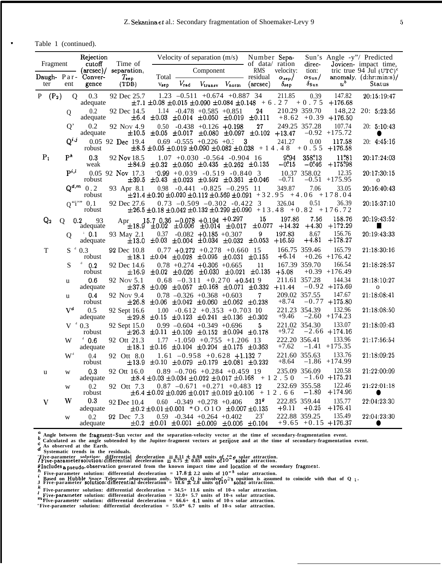. Table 1 (continued).

| Fragment |                         | Rejection<br>cutoff             | Time of                   |                                                                       |               | Velocity of separation $(m/s)$       |                | Number Sepa-<br>- of data/ ration                                                         |                             | direc-                          |                                   | Sun's Angle -y"/ Predicted<br>Jovicen- impact time,    |
|----------|-------------------------|---------------------------------|---------------------------|-----------------------------------------------------------------------|---------------|--------------------------------------|----------------|-------------------------------------------------------------------------------------------|-----------------------------|---------------------------------|-----------------------------------|--------------------------------------------------------|
|          |                         | Daugh- Par- Conver-             | (arcsec)/ separation,     | Total -                                                               |               | Component                            |                | <b>RMS</b><br>residual                                                                    | velocity:<br>$\alpha_{sep}$ | tion:<br>$\alpha_{\text{Sun}}/$ |                                   | tric true 94 Jul $(UTC)^c$<br>anomaly, $(d:hr:min:s)/$ |
| ter      | ent                     | gence                           | $T_{sep}$<br>(TDB)        | V <sub>sep</sub>                                                      | $V_{\rm rad}$ | $V_{\mathtt{transv}}$                | $V_{\rm norm}$ | $(\text{arcsec})$                                                                         | $\delta_{\text{sep}}$       | $\delta$ Sun                    | $u^b$                             | Status                                                 |
| $P(P_2)$ |                         | $\mathbf{O}$<br>0.3<br>adequate | 92 Dec 25.7               |                                                                       |               | $1.23 -0.511 +0.674 +0.887$ 34       |                | $\pm 7.1 \pm 0.08 \pm 0.015 \pm 0.090 \pm 0.084 \pm 0.148 + 6.27 + 0.75$                  | 211.85                      | 0.39                            | 147.82<br>$+176.68$               | 20:15:19:47                                            |
|          | Q                       | 0.2                             | 92 Dec 14.5               |                                                                       |               | $1.14 -0.478 +0.585 +0.851$          |                | 24                                                                                        | 210.29 359.70               |                                 | 148,22                            | 20:5:23:56                                             |
|          | O'                      | adequate<br>0.2                 | 92 Nov 4.9                | $\pm 6.4 \pm 0.03 \pm 0.014 \pm 0.050 \pm 0.019 \pm 0.111$<br>0.50    |               | $-0.438 + 0.126 + 0.198$             |                | 27                                                                                        | 249.25 357.28               |                                 | $+8.62 + 0.39 + 176.50$<br>107.74 | 20: 5:10:43                                            |
|          |                         | adequate                        |                           |                                                                       |               |                                      |                | $\pm 10.5$ $\pm 0.05$ $\pm 0.017$ $\pm 0.080$ $\pm 0.097$ $\pm 0.102$ $+13.47$            |                             |                                 | $-0.92$ +175.72                   |                                                        |
|          | $Q^{i,j}$               | robust                          | 0.05 92 Dec 19.4          |                                                                       |               | $0.69 -0.555 +0.226 +0.3$            | - 3            | $\pm 8.5 \pm 0.05 \pm 0.019 \pm 0.090 \pm 0.082 \pm 0.038 + 14.48$                        | 241.27                      | 0.00<br>$+0.55$                 | 117.58<br>$+176.58$               | 20: 4:45:16                                            |
| $P_1$    | $\mathbf{P}^k$          | 0.3<br>weak                     | 92 Nov 18.5               | $\pm 84.9$ $\pm 0.32$ $\pm 0.050$ $\pm 0.435$ $\pm 0.262$ $\pm 0.135$ |               | $1.07 + 0.030 - 0.564 - 0.904$ 16    |                |                                                                                           | 9.94<br>$-0.15$             | 358.13<br>$-0.46$               | 11.81<br>$+175.98$                | 20:17:24:03                                            |
|          | $\mathbf{p}^{i,l}$      | robust                          | $0.05$ 92 Nov 17.3        | $\pm 39.5$ $\pm 0.43$ $\pm 0.023$ $\pm 0.592$ $\pm 0.361$ $\pm 0.046$ |               | $0.99 + 0.039 - 0.519 - 0.840$ 3     |                |                                                                                           | $-0.71$                     | 10.37 358.02                    | 12.35<br>$-0.51$ +175.95          | 20:17:30:15<br>$\mathbf 0$                             |
|          |                         | $Q^{d,m}$ 0.2<br>robust         | 93 Apr 8.1                |                                                                       |               | $0.98$ $-0.441$ $-0.825$ $-0.295$ 11 |                | $\pm 21.4 \pm 0.20 \pm 0.020 \pm 0.112 \pm 0.569 \pm 0.091 + 32.95 + 4.06 + 178.04$       | 349.87                      | 7.06                            | 33.05                             | 20:16:40:43                                            |
|          |                         | $0$ "i" $0.1$<br>robust         | 92 Dec 27.6               |                                                                       |               | $0.73 -0.509 -0.302 -0.422$ 3        |                |                                                                                           | 326.04                      | 0.51                            | 36.39                             | 20:15:37:10                                            |
| $Q_{2}$  | Q                       | 0.2<br>93                       | Apr.                      | $15.7, 0.36 - 0.078 + 0.194 + 0.297$                                  |               |                                      |                | $\pm 26.5 \pm 0.18 \pm 0.042 \pm 0.132 \pm 0.299 \pm 0.090 + 13.48 + 0.82 + 176.72$<br>15 | 197.86                      | 7.56                            | 158.76                            | 20:19:43:52                                            |
|          |                         | adequate<br>$^{\circ}$ 0.1      |                           |                                                                       |               |                                      |                | $\pm 18.9$ $\pm 0.02$ $\pm 0.006$ $\pm 0.014$ $\pm 0.017$ $\pm 0.077$ $+14.32$<br>9       | 197.83                      | $+4.30$<br>8.67                 | $+172.29$<br>156.76               | 20:19:43:33                                            |
|          | Q                       | adequate                        | 93 May 2.1<br>$\pm 13.0$  | 0.37                                                                  |               | $-0.082$ $+0.185$ $+0.307$           |                | $\pm 0.03$ $\pm 0.004$ $\pm 0.034$ $\pm 0.032$ $\pm 0.053$                                | $+16.59$                    | $+4.81$                         | $+178.27$                         |                                                        |
| T        | $S^d$                   | 0.3<br>robust                   | 92 Dec 10.8               | $\pm 18.1$ $\pm 0.04$ $\pm 0.028$ $\pm 0.095$ $\pm 0.031$ $\pm 0.155$ |               | $0.77 + 0.272 + 0.278 + 0.660$ 15    |                |                                                                                           | 166.75 359.46<br>$+6.14$    |                                 | 165.79<br>$+0.26$ $+176.42$       | 21:18:30:16                                            |
|          | S                       | 0.2<br>robust                   | 92 Dec 14.6<br>$\pm 16.9$ |                                                                       |               | $0.78 +0.274 +0.306 +0.665$          |                | 11<br>$\pm 0.02$ $\pm 0.026$ $\pm 0.030$ $\pm 0.021$ $\pm 0.135$                          | 167.39 359.70<br>$+5.08$    |                                 | 166.54<br>$+0.39$ $+176.49$       | 21:18:28:57                                            |
|          | u                       | 0.6<br>adequate                 | 92 Nov 5.1                | $\pm 37.8$ $\pm 0.09$ $\pm 0.057$ $\pm 0.168$ $\pm 0.071$ $\pm 0.332$ |               | $0.68$ -0.311 +0.270 +0.541 9        |                |                                                                                           | 211.61 357.28<br>$+11.44$   |                                 | 144.34<br>$-0.92$ +175.69         | 21:18:10:27<br>$\mathbf 0$                             |
|          | u                       | 0.4                             | 92 Nov 9.4                |                                                                       |               | $0.78 - 0.326 + 0.368 + 0.603$       |                | $\overline{7}$                                                                            | 209.02 357.55<br>$+8.74$    |                                 | 147.67<br>$-0.77 + 175.80$        | 21:18:08:41                                            |
|          | $V^d$                   | robust<br>$0.5^{\circ}$         | 92 Sept 16.6              | $\pm 26.8$ $\pm 0.06$ $\pm 0.042$ $\pm 0.060$ $\pm 0.062$ $\pm 0.238$ |               | $1.00 -0.612 +0.353 +0.703$ 10       |                |                                                                                           | 221.23 354.39               |                                 | 132.96<br>$-2.60$ +174.23         | 21:18:08:50                                            |
|          |                         | adequate<br>$V^{\dagger} 0.3$   | 92 Sept 15.0              | $\pm 29.8$ $\pm 0.15$ $\pm 0.123$ $\pm 0.241$ $\pm 0.136$ $\pm 0.302$ |               | $0.99 - 0.604 + 0.349 + 0.696$       |                | 5.                                                                                        | $+9.46$<br>221.02 354.30    |                                 | 133.07                            | 21:18:09:43                                            |
|          | W                       | robust<br>$\mathbf d$<br>0.6    | 92 Ott 21.3               | $\pm 26.3 \pm 0.11 \pm 0.109 \pm 0.152 \pm 0.094 \pm 0.178$           |               | $1.77 - 1.050 + 0.755 + 1.206$ 13    |                |                                                                                           | $+9.72$<br>222.20 356.41    |                                 | $-2.66$ +174.16<br>133.96         | 21:17:56:54                                            |
|          |                         | adequate                        |                           | $\pm 18.1 \pm 0.16 \pm 0.104 \pm 0.204 \pm 0.175 \pm 0.363$           |               |                                      |                |                                                                                           | $+7.62$                     |                                 | $-1.41$ $+175.35$                 |                                                        |
|          | $\mathbf{W}^{\text{d}}$ | 0.4<br>robust                   | 92 Ott 8.0                | $\pm 13.9$ $\pm 0.10$ $\pm 0.079$ $\pm 0.179$ $\pm 0.081$ $\pm 0.232$ |               | $1.61 -0.958 +0.628 +1.1327$         |                |                                                                                           | 221.60 355.63<br>$+8.64$    |                                 | 133.76<br>$-1.86$ +174.99         | 21:18:09:25                                            |
| u        | W                       | 0.3<br>adequate                 | 92 Ott 16.0               |                                                                       |               | $0.89 -0.706 +0.284 +0.459$ 19       |                | $\pm 8.4 \pm 0.03 \pm 0.034 \pm 0.022 \pm 0.017 \pm 0.168 + 12.50$                        | 235.09 356.09               |                                 | 120.58<br>$-1.60 + 175.21$        | 21:22:00:09                                            |
|          | W                       | 0.2<br>robust                   | 92 Ott 7.3                |                                                                       |               | $0.87 -0.671 +0.271 +0.483$ 12       |                | $\pm 6.4 \pm 0.02 \pm 0.026 \pm 0.017 \pm 0.019 \pm 0.106 + 12$ . 66                      | 232.69 355.58               | $-1.89$                         | 122.46<br>+174.96                 | 21:22:01:18                                            |
| V        | W                       | $0.3\,$                         | 92 Dec 10.4               |                                                                       |               | $0.60$ $-0.349$ $+0.278$ $+0.406$    |                | 31 <sup>g</sup>                                                                           | 222.85 359.44               |                                 | 135.77                            | 22:04:23:30                                            |
|          | W                       | adequate<br>0.2                 | 92 Dec 7.3                | $\pm 0.2 \pm 0.01 \pm 0.001$ * O.O 1 O $\pm 0.007 \pm 0.135$          |               | $0.59 -0.344 +0.264 +0.402$          |                | $23^{\circ}$                                                                              | $+9.11$<br>222.88 359.25    | $+0.25$                         | $+176.41$<br>135.49               | 22:04:23:30                                            |
|          |                         | adequate                        |                           | $\pm 0.2$ $\pm 0.01$ $\pm 0.001$ $\pm 0.009$ $\pm 0.006$ $\pm 0.104$  |               |                                      |                |                                                                                           |                             |                                 | $+9.65$ $+0.15$ $+176.37$         | $\bullet$                                              |

<sup>a</sup> Angle between the fragment-Sun vector and the separation-velocity vector at the time of secondary-fragmentation event.<br> **b** Calculated as the sundampted by the Indian fragment meters of a siliculated by time of seconda

**~ Calculated as the angle subtended by the Jupiter-fragment vectors at perijove and at the time of secondary-fragmentation event. d As observed at the Earth. Systematic trends in the residuals.**

'Five-parameter solution: differential deceleration = 8,11 ± 0,98 units of 1^2 s solar attraction.<br>J Five-parameter solution:differential deceleration = 8.75 ± 0.85 units of 10 ~ solar attraction.<br>I Includes<sub>a Dseudo-</sub>obs

" Five-parameter solution: differential deceleration = 17.8±2.2 units of 10<sup>−5</sup> solar attraction.<br>' Based on Hubble Space Telescope observations only. When Q is involved 2\*8 position is assumed to coincide with that of Q

 $\frac{k}{l}$  Five-parameter solution: differential deceleration =  $34.5+11.6$  units of 10-s solar attraction.

" Five-parameter solution: differential deceleration =  $32.0+5.7$  units of 10-s solar attraction.<br>"Tive-parameter solution: differential deceleration =  $66.6+4.1$  units of 10-s solar attraction.<br>"Five-parameter solution: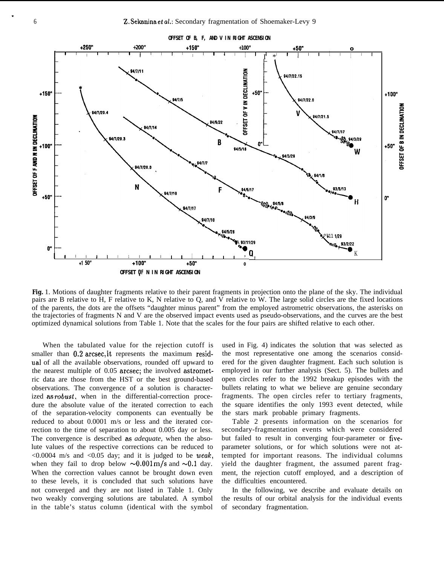

**Fig.** 1. Motions of daughter fragments relative to their parent fragments in projection onto the plane of the sky. The individual pairs are B relative to H, F relative to K, N relative to Q, and V relative to W. The large solid circles are the fixed locations of the parents, the dots are the offsets "daughter minus parent" from the employed astrometric observations, the asterisks on the trajectories of fragments N and V are the observed impact events used as pseudo-observations, and the curves are the best optimized dynamical solutions from Table 1. Note that the scales for the four pairs are shifted relative to each other.

When the tabulated value for the rejection cutoff is smaller than 0.2 arcsec, it represents the maximum residual of all the available observations, rounded off upward to the nearest multiple of 0.05 arcsec; the involved astrometric data are those from the HST or the best ground-based observations. The convergence of a solution is characterized as robust, when in the differential-correction procedure the absolute value of the iterated correction to each of the separation-velocity components can eventually be reduced to about 0.0001 m/s or less and the iterated correction to the time of separation to about 0.005 day or less. The convergence is described as *adequate,* when the absolute values of the respective corrections can be reduced to  $\leq 0.0004$  m/s and  $\leq 0.05$  day; and it is judged to be weak, when they fail to drop below  $\sim 0.001 \text{ m/s}$  and  $\sim 0.1$  day. When the correction values cannot be brought down even to these levels, it is concluded that such solutions have not converged and they are not listed in Table 1. Only two weakly converging solutions are tabulated. A symbol in the table's status column (identical with the symbol used in Fig. 4) indicates the solution that was selected as the most representative one among the scenarios considered for the given daughter fragment. Each such solution is employed in our further analysis (Sect. 5). The bullets and open circles refer to the 1992 breakup episodes with the bullets relating to what we believe are genuine secondary fragments. The open circles refer to tertiary fragments, the square identifies the only 1993 event detected, while the stars mark probable primary fragments.

Table 2 presents information on the scenarios for secondary-fragmentation events which were considered but failed to result in converging four-parameter or fiveparameter solutions, or for which solutions were not attempted for important reasons. The individual columns yield the daughter fragment, the assumed parent fragment, the rejection cutoff employed, and a description of the difficulties encountered.

In the following, we describe and evaluate details on the results of our orbital analysis for the individual events of secondary fragmentation.

.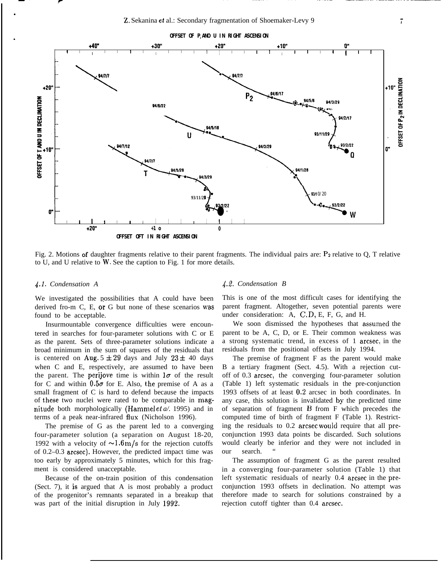

Fig. 2. Motions of daughter fragments relative to their parent fragments. The individual pairs are:  $P_2$  relative to O, T relative to U, and U relative to W. See the caption to Fig. 1 for more details.

#### *~.1. Condensation A*

.

**r**

.

We investigated the possibilities that A could have been derived fro-m C, E, or G but none of these scenarios was found to be acceptable.

Insurmountable convergence difficulties were encountered in searches for four-parameter solutions with C or E as the parent. Sets of three-parameter solutions indicate a broad minimum in the sum of squares of the residuals that is centered on Aug.  $5 \pm 29$  days and July  $23 \pm 40$  days when C and E, respectively, are assumed to have been the parent. The perijove time is within  $1\sigma$  of the result for C and within  $0.5\sigma$  for E. Also, the premise of A as a small fragment of C is hard to defend because the impacts of these two nuclei were rated to be comparable in magnitude both morphologically (Hamrnel et *a/.* 1995) and in terms of a peak near-infrared flux (Nicholson 1996).

The premise of G as the parent led to a converging four-parameter solution (a separation on August 18-20, 1992 with a velocity of  $\sim 1.6 \,\mathrm{m/s}$  for the rejection cutoffs of 0.2–0.3 arcsec). However, the predicted impact time was too early by approximately 5 minutes, which for this fragment is considered unacceptable.

Because of the on-train position of this condensation (Sect. 7), it is argued that A is most probably a product of the progenitor's remnants separated in a breakup that was part of the initial disruption in July 1992.

#### *4.2. Condensation B*

This is one of the most difficult cases for identifying the parent fragment. Altogether, seven potential parents were under consideration: A, C, D, E, F, G, and H.

We soon dismissed the hypotheses that assumed the parent to be A, C, D, or E. Their common weakness was a strong systematic trend, in excess of 1 arcsec, in the residuals from the positional offsets in July 1994.

The premise of fragment F as the parent would make B a tertiary fragment (Sect. 4.5). With a rejection cutoff of 0.3 arcsec, the converging four-parameter solution (Table 1) left systematic residuals in the pre-conjunction 1993 offsets of at least 0.2 arcsec in both coordinates. In any case, this solution is invalidated by the predicted time of separation of fragment B from F which precedes the computed time of birth of fragment F (Table 1). Restricting the residuals to 0.2 arcsec would require that all preconjunction 1993 data points be discarded. Such solutions would clearly be inferior and they were not included in our search.

The assumption of fragment G as the parent resulted in a converging four-parameter solution (Table 1) that left systematic residuals of nearly 0.4 arcsec in the preconjunction 1993 offsets in declination. No attempt was therefore made to search for solutions constrained by a rejection cutoff tighter than 0.4 arcsec.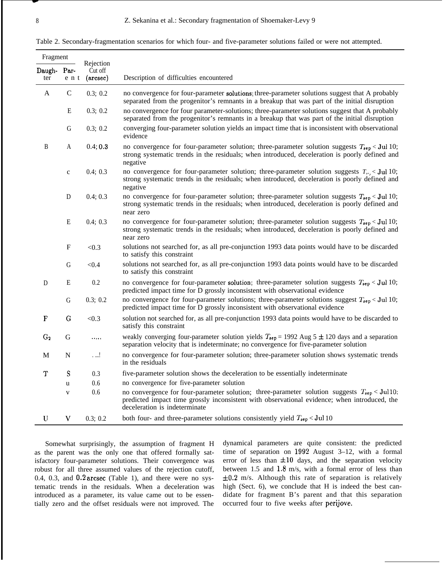| Table 2. Secondary-fragmentation scenarios for which four- and five-parameter solutions failed or were not attempted. |  |  |  |  |
|-----------------------------------------------------------------------------------------------------------------------|--|--|--|--|
|                                                                                                                       |  |  |  |  |

| Fragment      |               |                                  |                                                                                                                                                                                                                                           |
|---------------|---------------|----------------------------------|-------------------------------------------------------------------------------------------------------------------------------------------------------------------------------------------------------------------------------------------|
| Daugh-<br>ter | Par-<br>e n t | Rejection<br>Cut off<br>(arcsec) | Description of difficulties encountered                                                                                                                                                                                                   |
| A             | $\mathsf{C}$  | 0.3; 0.2                         | no convergence for four-parameter solutions; three-parameter solutions suggest that A probably<br>separated from the progenitor's remnants in a breakup that was part of the initial disruption                                           |
|               | E             | 0.3; 0.2                         | no convergence for four parameter-solutions; three-parameter solutions suggest that A probably<br>separated from the progenitor's remnants in a breakup that was part of the initial disruption                                           |
|               | G             | 0.3; 0.2                         | converging four-parameter solution yields an impact time that is inconsistent with observational<br>evidence                                                                                                                              |
| B             | A             | 0.4; 0.3                         | no convergence for four-parameter solution; three-parameter solution suggests $T_{sep}$ < Jul 10;<br>strong systematic trends in the residuals; when introduced, deceleration is poorly defined and<br>negative                           |
|               | $\mathbf c$   | 0.4; 0.3                         | no convergence for four-parameter solution; three-parameter solution suggests $T_{\text{max}}$ < Jul 10;<br>strong systematic trends in the residuals; when introduced, deceleration is poorly defined and<br>negative                    |
|               | D             | 0.4; 0.3                         | no convergence for four-parameter solution; three-parameter solution suggests $T_{sep}$ < Jul 10;<br>strong systematic trends in the residuals; when introduced, deceleration is poorly defined and<br>near zero                          |
|               | E             | 0.4; 0.3                         | no convergence for four-parameter solution; three-parameter solution suggests $T_{\text{sep}}$ < Jul 10;<br>strong systematic trends in the residuals; when introduced, deceleration is poorly defined and<br>near zero                   |
|               | F             | < 0.3                            | solutions not searched for, as all pre-conjunction 1993 data points would have to be discarded<br>to satisfy this constraint                                                                                                              |
|               | G             | < 0.4                            | solutions not searched for, as all pre-conjunction 1993 data points would have to be discarded<br>to satisfy this constraint                                                                                                              |
| D             | E             | 0.2                              | no convergence for four-parameter solution; three-parameter solution suggests $T_{\text{sep}}$ < Jul 10;<br>predicted impact time for D grossly inconsistent with observational evidence                                                  |
|               | G             | 0.3; 0.2                         | no convergence for four-parameter solutions; three-parameter solutions suggest $T_{sep}$ < Jul 10;<br>predicted impact time for D grossly inconsistent with observational evidence                                                        |
| $\mathbf{F}$  | G             | < 0.3                            | solution not searched for, as all pre-conjunction 1993 data points would have to be discarded to<br>satisfy this constraint                                                                                                               |
| $G_2$         | G             |                                  | weakly converging four-parameter solution yields $T_{\text{sep}} = 1992$ Aug 5 $\pm$ 120 days and a separation<br>separation velocity that is indeterminate; no convergence for five-parameter solution                                   |
| M             | N             | . !                              | no convergence for four-parameter solution; three-parameter solution shows systematic trends<br>in the residuals                                                                                                                          |
| Т             | S             | 0.3                              | five-parameter solution shows the deceleration to be essentially indeterminate                                                                                                                                                            |
|               | u             | 0.6                              | no convergence for five-parameter solution                                                                                                                                                                                                |
|               | V             | 0.6                              | no convergence for four-parameter solution; three-parameter solution suggests $T_{\text{sep}} <$ Jul 10;<br>predicted impact time grossly inconsistent with observational evidence; when introduced, the<br>deceleration is indeterminate |
| U             | V             | 0.3; 0.2                         | both four- and three-parameter solutions consistently yield $T_{\text{sep}}$ < Jul 10                                                                                                                                                     |

Somewhat surprisingly, the assumption of fragment H as the parent was the only one that offered formally satisfactory four-parameter solutions. Their convergence was robust for all three assumed values of the rejection cutoff, 0.4, 0.3, and 0.2 arcsec (Table 1), and there were no systematic trends in the residuals. When a deceleration was introduced as a parameter, its value came out to be essentially zero and the offset residuals were not improved. The

dynamical parameters are quite consistent: the predicted time of separation on 1992 August 3–12, with a formal error of less than  $\pm 10$  days, and the separation velocity between 1.5 and 1.8 m/s, with a formal error of less than  $\pm 0.2$  m/s. Although this rate of separation is relatively high (Sect. 6), we conclude that H is indeed the best candidate for fragment B's parent and that this separation occurred four to five weeks after perijove.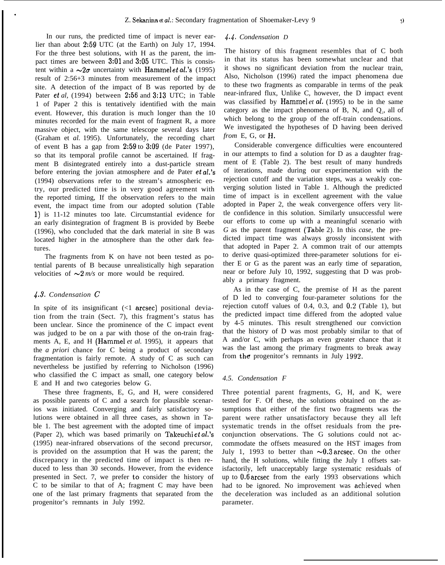In our runs, the predicted time of impact is never earlier than about 2:59 UTC (at the Earth) on July 17, 1994. For the three best solutions, with H as the parent, the impact times are between 3:01 and 3:05 UTC. This is consistent within a  $\sim 2\sigma$  uncertainty with Hammel et al.'s (1995) result of 2:56+3 minutes from measurement of the impact site. A detection of the impact of B was reported by de Pater et *al,* (1994) between 2:56 and 3:13 UTC; in Table 1 of Paper 2 this is tentatively identified with the main event. However, this duration is much longer than the 10 minutes recorded for the main event of fragment R, a more massive object, with the same telescope several days later (Graham et *al.* 1995). Unfortunately, the recording chart of event B has a gap from 2:59 to 3:09 (de Pater 1997), so that its temporal profile cannot be ascertained. If fragment B disintegrated entirely into a dust-particle stream before entering the jovian atmosphere and de Pater et *al.'s* (1994) observations refer to the stream's atmospheric entry, our predicted time is in very good agreement with the reported timing, If the observation refers to the main event, the impact time from our adopted solution (Table 1) is 11-12 minutes too late. Circumstantial evidence for an early disintegration of fragment B is provided by Beebe (1996), who concluded that the dark material in site B was located higher in the atmosphere than the other dark features.

The fragments from K on have not been tested as potential parents of B because unrealistically high separation velocities of  $\sim 2$  *m/s* or more would be required.

## 4.3. *Condensation C*

.

In spite of its insignificant  $($ 1 arcsec) positional deviation from the train (Sect. 7), this fragment's status has been unclear. Since the prominence of the C impact event was judged to be on a par with those of the on-train fragments A, E, and H (Hammel *et al.* 1995), it appears that the *a priori* chance for C being a product of secondary fragmentation is fairly remote. A study of C as such can nevertheless be justified by referring to Nicholson (1996) who classified the C impact as small, one category below E and H and two categories below G.

These three fragments, E, G, and H, were considered as possible parents of C and a search for plausible scenarios was initiated. Converging and fairly satisfactory solutions were obtained in all three cases, as shown in Table 1. The best agreement with the adopted time of impact (Paper 2), which was based primarily on Takeuchi et al.'s (1995) near-infrared observations of the second precursor, is provided on the assumption that H was the parent; the discrepancy in the predicted time of impact is then reduced to less than 30 seconds. However, from the evidence presented in Sect. 7, we prefer to consider the history of C to be similar to that of A; fragment C may have been one of the last primary fragments that separated from the progenitor's remnants in July 1992.

#### *.J.J. Condensation D*

The history of this fragment resembles that of C both in that its status has been somewhat unclear and that it shows no significant deviation from the nuclear train, Also, Nicholson (1996) rated the impact phenomena due to these two fragments as comparable in terms of the peak near-infrared flux, Unlike C, however, the D impact event was classified by Hammel *et al,* (1995) to be in the same category as the impact phenomena of B, N, and  $Q_2$ , all of which belong to the group of the off-train condensations. We investigated the hypotheses of D having been derived *from* E, G, or **H**.

Considerable convergence difficulties were encountered in our attempts to find a solution for D as a daughter fragment of E (Table 2). The best result of many hundreds of iterations, made during our experimentation with the rejection cutoff and the variation steps, was a weakly converging solution listed in Table 1. Although the predicted time of impact is in excellent agreement with the value adopted in Paper 2, the weak convergence offers very little confidence in this solution. Similarly unsuccessful were our efforts to come up with a meaningful scenario with *G* as the parent fragment (Table 2). In this *case,* the predicted impact time was always grossly inconsistent with that adopted in Paper 2. A common trait of our attempts to derive quasi-optimized three-parameter solutions for either E or G as the parent was an early time of separation, near or before July 10, 1992, suggesting that D was probably a primary fragment.

As in the case of C, the premise of H as the parent of D led to converging four-parameter solutions for the rejection cutoff values of 0.4, 0.3, and 0.2 (Table 1), but the predicted impact time differed from the adopted value by 4-5 minutes. This result strengthened our conviction that the history of D was most probably similar to that of A and/or C, with perhaps an even greater chance that it was the last among the primary fragments to break away from the progenitor's remnants in July 1992.

#### *4.5. Condensation F*

Three potential parent fragments, G, H, and K, were tested for F. Of these, the solutions obtained on the assumptions that either of the first two fragments was the parent were rather unsatisfactory because they all left systematic trends in the offset residuals from the preconjunction observations. The G solutions could not accommodate the offsets measured on the HST images from July 1, 1993 to better than  $\sim 0.3$  arcsec. On the other hand, the H solutions, while fitting the July 1 offsets satisfactorily, left unacceptably large systematic residuals of up to 0,6 arcsec from the early 1993 observations which had to be ignored. No improvement was achieved when the deceleration was included as an additional solution parameter.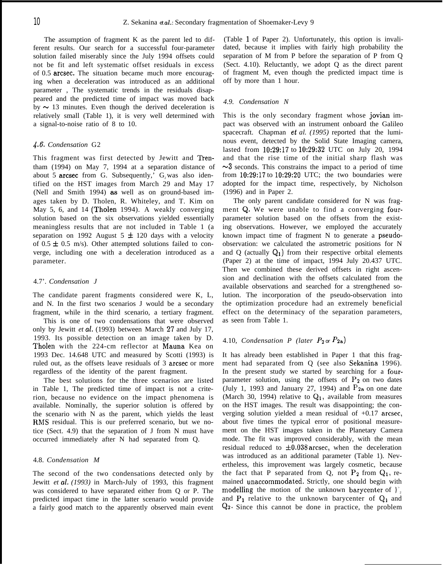The assumption of fragment K as the parent led to different results. Our search for a successful four-parameter solution failed miserably since the July 1994 offsets could not be fit and left systematic offset residuals in excess of 0.5 arcsec. The situation became much more encouraging when a deceleration was introduced as an additional parameter , The systematic trends in the residuals disappeared and the predicted time of impact was moved back by  $\sim$  13 minutes. Even though the derived deceleration is relatively small (Table 1), it is very well determined with a signal-to-noise ratio of 8 to 10.

## *4.6. Condensation* G2

This fragment was first detected by Jewitt and Trentham (1994) on May 7, 1994 at a separation distance of about 5 arcsec from G. Subsequently,'  $G_2$  was also identified on the HST images from March 29 and May 17 (Nell and Smith 1994) as well as on ground-based images taken by D. Tholen, R. Whiteley, and T. Kim on May 5, 6, and 14 (Tholen 1994). A weakly converging solution based on the six observations yielded essentially meaningless results that are not included in Table 1 (a separation on 1992 August  $5 \pm 120$  days with a velocity of  $0.5 \pm 0.5$  m/s). Other attempted solutions failed to converge, including one with a deceleration introduced as a parameter.

## 4.7'. *Condensation J*

The candidate parent fragments considered were K, L, and N. In the first two scenarios J would be a secondary fragment, while in the third scenario, a tertiary fragment.

This is one of two condensations that were observed only by Jewitt *et* al. (1993) between March 27 and July 17, 1993. Its possible detection on an image taken by D. Tholen with the 224-cm reflector at Mauna Kea on 1993 Dec. 14.648 UTC and measured by Scotti (1993) is ruled out, as the offsets leave residuals of 3 arcsec or more regardless of the identity of the parent fragment.

The best solutions for the three scenarios are listed in Table 1, The predicted time of impact is not a criterion, because no evidence on the impact phenomena is available. Nominally, the superior solution is offered by the scenario with N as the parent, which yields the least RMS residual. This is our preferred scenario, but we notice (Sect. 4.9) that the separation of J from N must have occurred immediately after N had separated from Q.

#### 4.8. *Condensation M*

The second of the two condensations detected only by Jewitt *et al.* (1993) in March-July of 1993, this fragment was considered to have separated either from Q or P. The predicted impact time in the latter scenario would provide a fairly good match to the apparently observed main event

(Table 1 of Paper 2). Unfortunately, this option is invalidated, because it implies with fairly high probability the separation of M from P before the separation of P from Q (Sect. 4.10). Reluctantly, we adopt Q as the direct parent of fragment M, even though the predicted impact time is off by more than 1 hour.

#### *4.9. Condensation N*

This is the only secondary fragment whose jovian impact was observed with an instrument onboard the Galileo spacecraft. Chapman et *al. (1995)* reported that the luminous event, detected by the Solid State Imaging camera, lasted from 10:29:17 to 10:29:32 UTC on July 20, 1994 and that the rise time of the initial sharp flash was  $\sim$ 3 seconds. This constrains the impact to a period of time from 10:29:17 to 10:29:20 UTC; the two boundaries were adopted for the impact time, respectively, by Nicholson (1996) and in Paper 2.

The only parent candidate considered for N was fragment Q. We were unable to find a converging fourparameter solution based on the offsets from the existing observations. However, we employed the accurately known impact time of fragment N to generate a pseudoobservation: we calculated the astrometric positions for N and Q (actually  $Q_1$ ) from their respective orbital elements (Paper 2) at the time of impact, 1994 July 20.437 UTC. Then we combined these derived offsets in right ascension and declination with the offsets calculated from the available observations and searched for a strengthened solution. The incorporation of the pseudo-observation into the optimization procedure had an extremely beneficial effect on the determinacy of the separation parameters, as seen from Table 1.

# 4.10, *Condensation P (later*  $P_2$  or  $P_{2a}$ )

It has already been established in Paper 1 that this fragment had separated from Q (see also Sekanina 1996). In the present study we started by searching for a fourparameter solution, using the offsets of  $P_2$  on two dates (July 1, 1993 and January 27, 1994) and  $P_{2a}$  on one date (March 30, 1994) relative to  $Q_1$ , available from measures on the HST images. The result was disappointing; the converging solution yielded a mean residual of +0.17 arcsec, about five times the typical error of positional measurement on the HST images taken in the Planetary Camera mode. The fit was improved considerably, with the mean residual reduced to  $\pm 0.038$  arcsec, when the deceleration was introduced as an additional parameter (Table 1). Nevertheless, this improvement was largely cosmetic, because the fact that P separated from Q, not  $P_2$  from  $Q_1$ , remained unaccommodated. Strictly, one should begin with modelling the motion of the unknown barycenter of  $\sum_{i=1}^{n}$ and  $P_1$  relative to the unknown barycenter of  $Q_1$  and Q2, Since this cannot be done in practice, the problem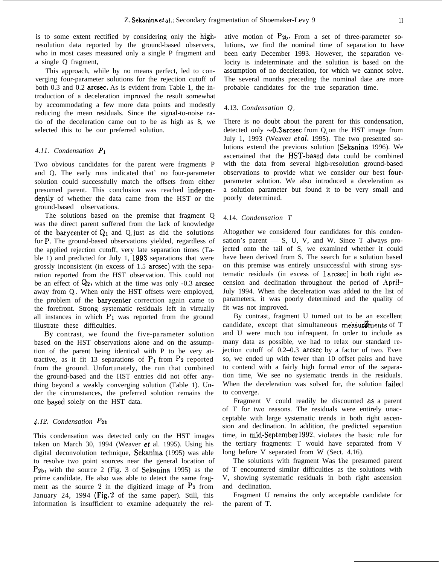is to some extent rectified by considering only the highresolution data reported by the ground-based observers, who in most cases measured only a single P fragment and a single Q fragment,

This approach, while by no means perfect, led to converging four-parameter solutions for the rejection cutoff of both 0.3 and 0.2 arcsec, As is evident from Table 1, the introduction of a deceleration improved the result somewhat by accommodating a few more data points and modestly reducing the mean residuals. Since the signal-to-noise ratio of the deceleration came out to be as high as 8, we selected this to be our preferred solution.

# *4.11. Condensation PI*

Two obvious candidates for the parent were fragments P and Q. The early runs indicated that' no four-parameter solution could successfully match the offsets from either presumed parent. This conclusion was reached independently of whether the data came from the HST or the ground-based observations.

The solutions based on the premise that fragment Q was the direct parent suffered from the lack of knowledge of the **barycenter** of  $Q_1$  and  $Q_2$  just as did the solutions for P, The ground-based observations yielded, regardless of the applied rejection cutoff, very late separation times (Table 1) and predicted for July 1, 1993 separations that were grossly inconsistent (in excess of 1.5 arcsec) with the separation reported from the HST observation. This could not be an effect of  $Q_2$ , which at the time was only -0.3 arcsec away from Q<sub>1</sub>. When only the HST offsets were employed, the problem of the barycenter correction again came to the forefront. Strong systematic residuals left in virtually all instances in which  $P_1$  was reported from the ground illustrate these difficulties.

By contrast, we found the five-parameter solution based on the HST observations alone and on the assumption of the parent being identical with P to be very attractive, as it fit 13 separations of  $P_1$  from  $P_2$  reported from the ground. Unfortunately, the run that combined the ground-based and the HST entries did not offer anything beyond a weakly converging solution (Table 1). Under the circumstances, the preferred solution remains the one based solely on the HST data.

## *~.lf. Condensation Pzb*

This condensation was detected only on the HST images taken on March 30, 1994 (Weaver et al. 1995). Using his digital deconvolution technique, Sekanina (1995) was able to resolve two point sources near the general location of  $P_{2b}$ , with the source 2 (Fig. 3 of Sekanina 1995) as the prime candidate. He also was able to detect the same fragment as the source 2 in the digitized image of  $P_2$  from January 24, 1994 (Fig. 2 of the same paper). Still, this information is insufficient to examine adequately the relative motion of  $P_{2b}$ . From a set of three-parameter solutions, we find the nominal time of separation to have been early December 1993. However, the separation velocity is indeterminate and the solution is based on the assumption of no deceleration, for which we cannot solve. The several months preceding the nominal date are more probable candidates for the true separation time.

## 4.13. *Condensation Q<sup>2</sup>*

There is no doubt about the parent for this condensation, detected only  $\sim 0.3$  arcsec from O on the HST image from July 1, 1993 (Weaver  $et al.$  1995). The two presented solutions extend the previous solution (Sekanina 1996). We ascertained that the HST-based data could be combined with the data from several high-resolution ground-based observations to provide what we consider our best fourparameter solution. We also introduced a deceleration as a solution parameter but found it to be very small and poorly determined.

#### 4.14. *Condensation T*

Altogether we considered four candidates for this condensation's parent  $-$  S, U, V, and W. Since T always projected onto the tail of S, we examined whether it could have been derived from S. The search for a solution based on this premise was entirely unsuccessful with strong systematic residuals (in excess of <sup>1</sup> arcsec) in both right ascension and declination throughout the period of April– July 1994. When the deceleration was added to the list of parameters, it was poorly determined and the quality of fit was not improved.

By contrast, fragment U turned out to be an excellent candidate, except that simultaneous measurements of  $T$ and U were much too infrequent. In order to include as many data as possible, we had to relax our standard rejection cutoff of 0.2–0.3 arcsec by a factor of two. Even so, we ended up with fewer than 10 offset pairs and have to contend with a fairly high formal error of the separation time, We see no systematic trends in the residuals. When the deceleration was solved for, the solution failed to converge.

Fragment V could readily be discounted as a parent of T for two reasons. The residuals were entirely unacceptable with large systematic trends in both right ascension and declination. In addition, the predicted separation time, in mid-Septenlber 1992, violates the basic rule for the tertiary fragments: T would have separated from V long before V separated from W (Sect. 4.16).

The solutions with fragment Was the presumed parent of T encountered similar difficulties as the solutions with V, showing systematic residuals in both right ascension and declination.

Fragment U remains the only acceptable candidate for the parent of T.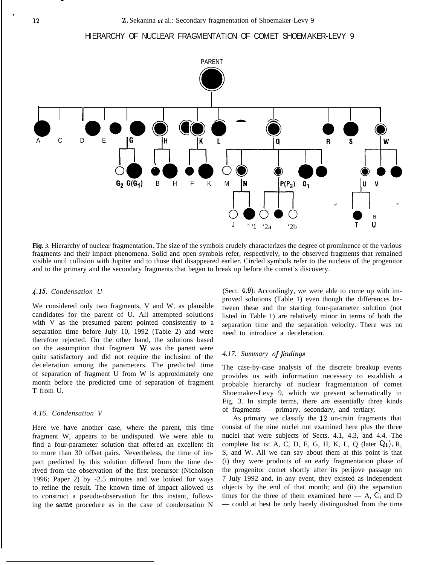.





**Fig.** *3.* Hierarchy of nuclear fragmentation. The size of the symbols crudely characterizes the degree of prominence of the various fragments and their impact phenomena. Solid and open symbols refer, respectively, to the observed fragments that remained visible until collision with Jupiter and to those that disappeared earlier. Circled symbols refer to the nucleus of the progenitor and to the primary and the secondary fragments that began to break up before the comet's discovery.

### *4.15. Condensation U*

We considered only two fragments, V and W, as plausible candidates for the parent of U. All attempted solutions with V as the presumed parent pointed consistently to a separation time before July 10, 1992 (Table 2) and were therefore rejected. On the other hand, the solutions based on the assumption that fragment W was the parent were quite satisfactory and did not require the inclusion of the deceleration among the parameters. The predicted time of separation of fragment U from W is approximately one month before the predicted time of separation of fragment T from U.

## *4.16. Condensation V*

Here we have another case, where the parent, this time fragment W, appears to be undisputed. We were able to find a four-parameter solution that offered an excellent fit to more than 30 offset pairs. Nevertheless, the time of impact predicted by this solution differed from the time derived from the observation of the first precursor (Nicholson 1996; Paper 2) by -2.5 minutes and we looked for ways to refine the result. The known time of impact allowed us to construct a pseudo-observation for this instant, following the same procedure as in the case of condensation N

(Sect. 4,9). Accordingly, we were able to come up with improved solutions (Table 1) even though the differences between these and the starting four-parameter solution (not listed in Table 1) are relatively minor in terms of both the separation time and the separation velocity. There was no need to introduce a deceleration.

## 4.17. Summary of findings

The case-by-case analysis of the discrete breakup events provides us with information necessary to establish a probable hierarchy of nuclear fragmentation of comet Shoemaker-Levy 9, which we present schematically in Fig. 3. In simple terms, there are essentially three kinds of fragments — primary, secondary, and tertiary.

As primary we classify the 12 on-train fragments that consist of the nine nuclei not examined here plus the three nuclei that were subjects of Sects. 4.1, 4.3, and 4.4. The complete list is: A, C, D, E, G, H, K, L, Q (later  $Q_1$ ), R, S, and W. All we can say about them at this point is that (i) they were products of an early fragmentation phase of the progenitor comet shortly after its perijove passage on 7 July 1992 and, in any event, they existed as independent objects by the end of that month; and (ii) the separation times for the three of them examined here  $- A$ , C, and D — could at best be only barely distinguished from the time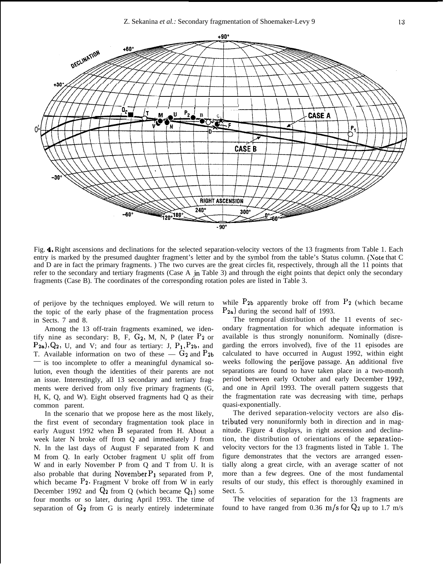

Fig. 4. Right ascensions and declinations for the selected separation-velocity vectors of the 13 fragments from Table 1. Each entry is marked by the presumed daughter fragment's letter and by the symbol from the table's Status column. (Xote that C and D are in fact the primary fragments. ) The two curves are the great circles fit, respectively, through all the 11 points that refer to the secondary and tertiary fragments (Case A in Table 3) and through the eight points that depict only the secondary fragments (Case B). The coordinates of the corresponding rotation poles are listed in Table 3.

of perijove by the techniques employed. We will return to the topic of the early phase of the fragmentation process in Sects. 7 and 8.

Among the 13 off-train fragments examined, we identify nine as secondary: B, F, *G2,* M, N, P (later Pz or  $P_{2a}$ , Q<sub>2</sub>, U, and V; and four as tertiary: J,  $P_1$ ,  $P_2$ b, and T. Available information on two of these —  $G_2$  and  $P_{2b}$ — is too incomplete to offer a meaningful dynamical solution, even though the identities of their parents are not an issue. Interestingly, all 13 secondary and tertiary fragments were derived from only five primary fragments (G, H, K, Q, and W). Eight observed fragments had Q as their common parent.

In the scenario that we propose here as the most likely, the first event of secondary fragmentation took place in early August 1992 when B separated from H. About a week later N broke off from Q and immediately J from N. In the last days of August F separated from K and M from Q. In early October fragment U split off from W and in early November P from Q and T from U. It is also probable that during November  $P_1$  separated from P, which became  $P_2$ . Fragment V broke off from W in early December 1992 and  $Q_2$  from Q (which became  $Q_1$ ) some four months or so later, during April 1993. The time of separation of  $G_2$  from  $G$  is nearly entirely indeterminate

while  $P_{2b}$  apparently broke off from  $P_2$  (which became  $P_{2a}$ ) during the second half of 1993.

The temporal distribution of the 11 events of secondary fragmentation for which adequate information is available is thus strongly nonuniform. Nominally (disregarding the errors involved), five of the 11 episodes are calculated to have occurred in August 1992, within eight weeks following the perijove passage. An additional five separations are found to have taken place in a two-month period between early October and early December 1992, and one in April 1993. The overall pattern suggests that the fragmentation rate was decreasing with time, perhaps quasi-exponentially.

The derived separation-velocity vectors are also distributed very nonuniformly both in direction and in magnitude. Figure 4 displays, in right ascension and declination, the distribution of orientations of the separationvelocity vectors for the 13 fragments listed in Table 1. The figure demonstrates that the vectors are arranged essentially along a great circle, with an average scatter of not more than a few degrees. One of the most fundamental results of our study, this effect is thoroughly examined in Sect. 5.

The velocities of separation for the 13 fragments are found to have ranged from 0.36 m/s for  $Q_2$  up to 1.7 m/s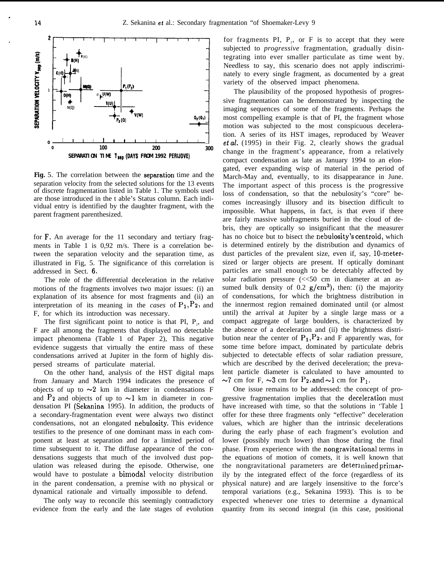

Fig. 5. The correlation between the separation time and the separation velocity from the selected solutions for the 13 events of discrete fragmentation listed in Table 1. The symbols used are those introduced in the t able's Status column. Each individual entry is identified by the daughter fragment, with the parent fragment parenthesized.

for F. An average for the 11 secondary and tertiary fragments in Table 1 is 0,92 m/s. There is a correlation between the separation velocity and the separation time, as illustrated in Fig, 5. The significance of this correlation is addressed in Sect. 6,

The role of the differential deceleration in the relative motions of the fragments involves two major issues: (i) an explanation of its absence for most fragments and (ii) an interpretation of its meaning in the *cases* of  $P_1$ ,  $P_2$ , and F, for which its introduction was necessary.

The first significant point to notice is that PI,  $P_2$ , and F are all among the fragments that displayed no detectable impact phenomena (Table 1 of Paper 2), This negative evidence suggests that virtually the entire mass of these condensations arrived at Jupiter in the form of highly dispersed streams of particulate material.

On the other hand, analysis of the HST digital maps from January and March 1994 indicates the presence of objects of up to  $\sim$ 2 km in diameter in condensations F and  $P_2$  and objects of up to  $\sim$ 1 km in diameter in condensation PI (Sekanina 1995). In addition, the products of a secondary-fragmentation event were always two distinct condensations, not an elongated nebulosity. This evidence testifies to the presence of one dominant mass in each component at least at separation and for a limited period of time subsequent to it. The diffuse appearance of the condensations suggests that much of the involved dust population was released during the episode. Otherwise, one would have to postulate a bimodal velocity distribution in the parent condensation, a premise with no physical or dynamical rationale and virtually impossible to defend.

The only way to reconcile this seemingly contradictory evidence from the early and the late stages of evolution

for fragments PI,  $P_2$ , or F is to accept that they were subjected to *progressive* fragmentation, gradually disintegrating into ever smaller particulate as time went by. Needless to say, this scenario does not apply indiscriminately to every single fragment, as documented by a great variety of the observed impact phenomena.

The plausibility of the proposed hypothesis of progressive fragmentation can be demonstrated by inspecting the imaging sequences of some of the fragments. Perhaps the most compelling example is that of PI, the fragment whose motion was subjected to the most conspicuous deceleration. A series of its HST images, reproduced by Weaver et *al,* (1995) in their Fig. 2, clearly shows the gradual change in the fragment's appearance, from a relatively compact condensation as late as January 1994 to an elongated, ever expanding wisp of material in the period of March-May and, eventually, to its disappearance in June. The important aspect of this process is the progressive loss of condensation, so that the nebulosity's "core" becomes increasingly illusory and its bisection difficult to impossible. What happens, in fact, is that even if there are fairly massive subfragments buried in the cloud of debris, they are optically so insignificant that the measurer has no choice but to bisect the nebulosity's centroid, which is determined entirely by the distribution and dynamics of dust particles of the prevalent size, even if, say, 10-metersized or larger objects are present. If optically dominant particles are small enough to be detectably affected by solar radiation pressure (<<50 cm in diameter at an assumed bulk density of 0.2  $g/cm<sup>3</sup>$ , then: (i) the majority of condensations, for which the brightness distribution in the innermost region remained dominated until (or almost until) the arrival at Jupiter by a single large mass or a compact aggregate of large boulders, is characterized by the absence of a deceleration and (ii) the brightness distribution near the center of  $P_1$ ,  $P_2$ , and F apparently was, for some time before impact, dominated by particulate debris subjected to detectable effects of solar radiation pressure, which are described by the derived deceleration; the prevalent particle diameter is calculated to have amounted to  $\sim$ 7 cm for F,  $\sim$ 3 cm for P<sub>2</sub>, and  $\sim$ 1 cm for P<sub>1</sub>.

One issue remains to be addressed: the concept of progressive fragmentation implies that the cleceleration must have increased with time, so that the solutions in 'Table <sup>1</sup> offer for these three fragments only "effective" deceleration values, which are higher than the intrinsic decelerations during the early phase of each fragment's evolution and lower (possibly much lower) than those during the final phase. From experience with the nongravitational terms in the equations of motion of comets, it is well known that the nongravitational parameters are determined primarily by the integrated effect of the force (regardless of its physical nature) and are largely insensitive to the force's temporal variations (e.g., Sekanina 1993). This is to be expected whenever one tries to determine a dynamical quantity from its second integral (in this case, positional

.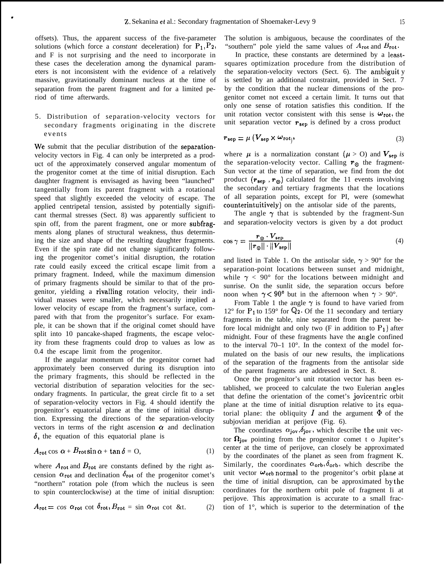offsets). Thus, the apparent success of the five-parameter solutions (which force a *constant* deceleration) for  $P_1$ ,  $P_2$ , and F is not surprising and the need to incorporate in these cases the deceleration among the dynamical parameters is not inconsistent with the evidence of a relatively massive, gravitationally dominant nucleus at the time of separation from the parent fragment and for a limited period of time afterwards.

,

5. Distribution of separation-velocity vectors for secondary fragments originating in the discrete events

We submit that the peculiar distribution of the separationvelocity vectors in Fig. 4 can only be interpreted as a product of the approximately conserved angular momentum of the progenitor comet at the time of initial disruption. Each daughter fragment is envisaged as having been "launched" tangentially from its parent fragment with a rotational speed that slightly exceeded the velocity of escape. The applied centripetal tension, assisted by potentially significant thermal stresses (Sect. 8) was apparently sufficient to spin off, from the parent fragment, one or more subfragments along planes of structural weakness, thus determining the size and shape of the resulting daughter fragments. Even if the spin rate did not change significantly following the progenitor comet's initial disruption, the rotation rate could easily exceed the critical escape limit from a primary fragment. Indeed, while the maximum dimension of primary fragments should be similar to that of the progenitor, yielding a rivalling rotation velocity, their individual masses were smaller, which necessarily implied a lower velocity of escape from the fragment's surface, compared with that from the progenitor's surface. For example, it can be shown that if the original comet should have split into 10 pancake-shaped fragments, the escape velocity from these fragments could drop to values as low as 0.4 the escape limit from the progenitor.

If the angular momentum of the progenitor cornet had approximately been conserved during its disruption into the primary fragments, this should be reflected in the vectorial distribution of separation velocities for the secondary fragments. In particular, the great circle fit to a set of separation-velocity vectors in Fig. 4 should identify the progenitor's equatorial plane at the time of initial disruption. Expressing the directions of the separation-velocity vectors in terms of the right ascension  $\alpha$  and declination  $\delta$ , the equation of this equatorial plane is

$$
A_{\text{rot}} \cos \alpha + B_{\text{rot}} \sin \alpha + \tan \delta = 0, \tag{1}
$$

where  $A_{\text{rot}}$  and  $B_{\text{rot}}$  are constants defined by the right ascension  $\alpha_{rot}$  and declination  $\delta_{rot}$  of the progenitor comet's "northern" rotation pole (from which the nucleus is seen to spin counterclockwise) at the time of initial disruption:

$$
A_{\rm rot} = \cos \alpha_{\rm rot} \cot \delta_{\rm rot}, B_{\rm rot} = \sin \alpha_{\rm rot} \cot \&t. \tag{2}
$$

The solution is ambiguous, because the coordinates of the "southern" pole yield the same values of  $A_{\rm rot}$  and  $B_{\rm rot}$ .

In practice, these constants are determined by a leastsquares optimization procedure from the distribution of the separation-velocity vectors (Sect. 6). The ambiguit y is settled by an additional constraint, provided in Sect. 7 by the condition that the nuclear dimensions of the progenitor comet not exceed a certain limit. It turns out that only one sense of rotation satisfies this condition. If the unit rotation vector consistent with this sense is  $\omega_{\text{rot}}$ , the unit separation vector  $r_{sep}$  is defined by a cross product

$$
r_{\rm sep} = \mu \left( V_{\rm sep} \times \omega_{\rm rot} \right), \tag{3}
$$

where  $\mu$  is a normalization constant ( $\mu > 0$ ) and  $V_{sep}$  is the separation-velocity vector. Calling  $r_{\odot}$  the fragment-Sun vector at the time of separation, we find from the dot product  $(r_{\text{sep}} , r_{\odot})$  calculated for the 11 events involving the secondary and tertiary fragments that the locations of all separation points, except for PI, were (somewhat counterintuitively) on the antisolar side of the parents,

The angle  $\gamma$  that is subtended by the fragment-Sun and separation-velocity vectors is given by a dot product

$$
\cos \gamma = \frac{\mathbf{r}_{\odot} \cdot \mathbf{V}_{\text{sep}}}{\|\mathbf{r}_{\odot}\| \cdot \|\mathbf{V}_{\text{sep}}\|} \tag{4}
$$

and listed in Table 1. On the antisolar side,  $\gamma > 90^{\circ}$  for the separation-point locations between sunset and midnight, while  $\gamma$  < 90° for the locations between midnight and sunrise. On the sunlit side, the separation occurs before noon when  $\gamma < 90^{\circ}$  but in the afternoon when  $\gamma > 90^{\circ}$ .

From Table 1 the angle  $\gamma$  is found to have varied from  $12^{\circ}$  for  $P_1$  to 159° for  $Q_2$ . Of the 11 secondary and tertiary fragments in the table, nine separated from the parent before local midnight and only two (F in addition to  $P_1$ ) after midnight. Four of these fragments have the angle confined to the interval  $70-1$   $10^{\circ}$ . In the context of the model formulated on the basis of our new results, the implications of the separation of the fragments from the antisolar side of the parent fragments are addressed in Sect. 8.

Once the progenitor's unit rotation vector has been established, we proceed to calculate the two Eulerian angles that define the orientation of the comet's jovicentric orbit plane at the time of initial disruption relative to its equatorial plane: the obliquity I and the argument  $\Phi$  of the subjovian meridian at perijove (Fig. 6).

The coordinates  $\alpha_{jov}, \delta_{jov}$ , which describe the unit vector  $\Omega_{\text{iov}}$  pointing from the progenitor comet t o Jupiter's center at the time of perijove, can closely be approximated by the coordinates of the planet as seen from fragment K. Similarly, the coordinates  $\alpha_{\text{orb}}, \delta_{\text{orb}},$  which describe the unit vector  $\omega_{\text{orb}}$  normal to the progenitor's orbit plane at the time of initial disruption, can be approximated by the coordinates for the northern orbit pole of fragment Ii at perijove. This approximation is accurate to a small fraction of 1°, which is superior to the determination of the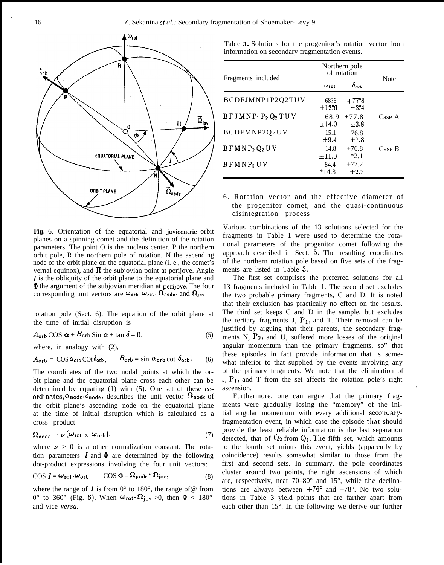.



**Fig.** 6. Orientation of the equatorial and jovicentric orbit planes on a spinning comet and the definition of the rotation parameters. The point O is the nucleus center, P the northern orbit pole, R the northern pole of rotation, N the ascending node of the orbit plane on the equatorial plane (i. e., the comet's vernal equinox), and  $\Pi$  the subjovian point at perijove. Angle  $\overline{I}$  is the obliquity of the orbit plane to the equatorial plane and @ the argument of the subjovian meridian at perijove. The four corresponding umt vectors are  $\omega_{\rm orb}, \omega_{\rm rot}, \Omega_{\rm node}$ , and  $\Omega_{\rm jov}$ .

rotation pole (Sect. 6). The equation of the orbit plane at the time of initial disruption is

 $A_{\text{orb}}$  COS  $\alpha + B_{\text{orb}}$  Sin  $\alpha + \tan \delta = 0$ , (5)

where, in analogy with (2),

$$
A_{\text{orb}} = \cos \alpha_{\text{orb}} \cot \delta_{\text{orb}}, \qquad B_{\text{orb}} = \sin \alpha_{\text{orb}} \cot \delta_{\text{orb}}. \tag{6}
$$

The coordinates of the two nodal points at which the orbit plane and the equatorial plane cross each other can be determined by equating (1) with (5). One set of these coordinates,  $\alpha_{\text{node}}, \delta_{\text{node}},$  describes the unit vector  $\Omega_{\text{node}}$  of the orbit plane's ascending node on the equatorial plane at the time of initial disruption which is calculated as a cross product

$$
\Omega_{\text{node}} - \nu \left( \omega_{\text{rot}} \times \omega_{\text{orb}} \right), \tag{7}
$$

where  $\nu > 0$  is another normalization constant. The rotation parameters  $\boldsymbol{I}$  and  $\boldsymbol{\Phi}$  are determined by the following dot-product expressions involving the four unit vectors:

$$
\text{COS } I = \omega_{\text{rot}} \cdot \omega_{\text{orb}}, \qquad \text{COS } \Phi = \Omega_{\text{node}} \cdot \Omega_{\text{jov}}, \tag{8}
$$

where the range of  $\vec{l}$  is from  $0^{\circ}$  to 180°, the range of @ from 0° to 360° (Fig. 6). When  $\omega_{\rm rot} \cdot \Omega_{\rm jov} > 0$ , then  $\Phi < 180^{\circ}$ and vice *versa.*

|  |  |  |  |  | Table 3. Solutions for the progenitor's rotation vector from |  |  |
|--|--|--|--|--|--------------------------------------------------------------|--|--|
|  |  |  |  |  | information on secondary fragmentation events.               |  |  |

| Fragments included                                       | Northern pole<br>of rotation | Note                 |        |
|----------------------------------------------------------|------------------------------|----------------------|--------|
|                                                          | $\alpha_{\rm rot}$           | $\delta_{\rm rot}$   |        |
| BCDFJMNP1P2O2TUV                                         | 68?6<br>±12%                 | $+77.8$<br>$+3.34$   |        |
| $B$ FJMNP <sub>1</sub> P <sub>2</sub> Q <sub>2</sub> TUV | 68.9<br>±14.0                | $+77.8$<br>$+3.8$    | Case A |
| BCDFMNP202UV                                             | 15.1<br>$\pm 9.4$            | $+76.8$<br>$\pm 1.8$ |        |
| $B F M N P_2 Q_2 U V$                                    | 14.8<br>$\pm 11.0$           | $+76.8$<br>$*2.1$    | Case B |
| BFMNP <sub>2</sub> UV                                    | 84.4<br>$*14.3$              | $+77.2$<br>$+2.7$    |        |

## 6. Rotation vector and the effective diameter of the progenitor comet, and the quasi-continuous disintegration process

Various combinations of the 13 solutions selected for the fragments in Table 1 were used to determine the rotational parameters of the progenitor comet following the approach described in Sect. 5. The resulting coordinates of the northern rotation pole based on five sets of the fragments are listed in Table 3.

The first set comprises the preferred solutions for all 13 fragments included in Table 1. The second set excludes the two probable primary fragments, C and D. It is noted that their exclusion has practically no effect on the results. The third set keeps C and D in the sample, but excludes the tertiary fragments J,  $P_1$ , and T. Their removal can be justified by arguing that their parents, the secondary fragments  $N$ ,  $P_2$ , and U, suffered more losses of the original angular momentum than the primary fragments, so" that these episodes in fact provide information that is somewhat inferior to that supplied by the events involving any of the primary fragments. We note that the elimination of  $J, P_1$ , and T from the set affects the rotation pole's right ascension. .

Furthermore, one can argue that the primary fragments were gradually losing the "memory" of the initial angular momentum with every additional secondaryfragmentation event, in which case the episode that should provide the least reliable information is the last separation detected, that of  $Q_2$  from  $Q_1$ . The fifth set, which amounts to the fourth set minus this event, yields (apparently by coincidence) results somewhat similar to those from the first and second sets. In summary, the pole coordinates cluster around two points, the right ascensions of which are, respectively, near 70–80° and 15°, while the declinations are always between  $+76^{\circ}$  and  $+78^{\circ}$ . No two solutions in Table 3 yield points that are farther apart from each other than 15°. In the following we derive our further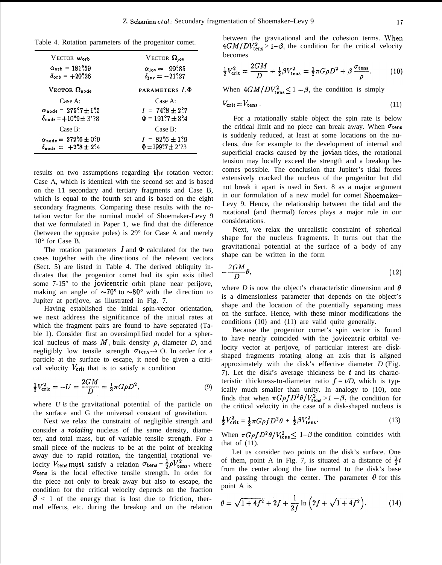Table 4. Rotation parameters of the progenitor comet.

| $V$ ECTOR $\omega_{orb}$                             | VECTOR $\Omega_{\text{jov}}$         |
|------------------------------------------------------|--------------------------------------|
| $\alpha_{\rm orb} = 181^\circ.59$                    | $\alpha_{\text{jov}} = 99^\circ 85$  |
| $\delta_{\rm orb} = +20^\circ.26$                    | $\delta_{\rm{iov}} = -21^\circ 27$   |
| VECTOR $\Omega_{\text{node}}$                        | PARAMETERS I, $\Phi$                 |
| Case A:                                              | Case A:                              |
| $\alpha_{\text{node}} = 275\degree 7 \pm 1\degree 5$ | $I = 74\degree 8 \pm 2\degree 7$     |
| $\delta_{\text{node}} = +10.9 \pm 3.38$              | $\Phi = 191\degree 7 \pm 3\degree 4$ |
| Case B:                                              | Case B:                              |
| $\alpha_{\text{node}} = 272\degree 6 \pm 0\degree 9$ | $I = 82\degree 6 \pm 1\degree 9$     |
| $\delta_{\text{node}} = +2.8 \pm 2.4$                | $\Phi = 199.7 \pm 2.33$              |

results on two assumptions regarding the rotation vector: Case A, which is identical with the second set and is based on the 11 secondary and tertiary fragments and Case B, which is equal to the fourth set and is based on the eight secondary fragments. Comparing these results with the rotation vector for the nominal model of Shoemaker-Levy 9 that we formulated in Paper 1, we find that the difference (between the opposite poles) is 29° for Case A and merely 18° for Case B.

The rotation parameters  $I$  and  $\Phi$  calculated for the two cases together with the directions of the relevant vectors (Sect. 5) are listed in Table 4. The derived obliquity indicates that the progenitor comet had its spin axis tilted some 7-15° to the jovicentric orbit plane near perijove, making an angle of  $\sim 70^{\circ}$  to  $\sim 80^{\circ}$  with the direction to Jupiter at perijove, as illustrated in Fig. 7.

Having established the initial spin-vector orientation, we next address the significance of the initial rates at which the fragment pairs are found to have separated (Table 1). Consider first an oversimplified model for a spherical nucleus of mass  $M$ , bulk density  $\rho$ , diameter *D*, and negligibly low tensile strength  $\sigma_{\text{tens}} \rightarrow 0$ . In order for a particle at the surface to escape, it need be given a critical velocity  $V_{\rm crit}$  that is to satisfy a condition

$$
\frac{1}{2}V_{\text{crit}}^2 = -U = \frac{2GM}{D} = \frac{1}{3}\pi G\rho D^2,\tag{9}
$$

where *U is* the gravitational potential of the particle on the surface and G the universal constant of gravitation.

Next we relax the constraint of negligible strength and consider a *rotating* nucleus of the same density, diameter, and total mass, but of variable tensile strength. For a small piece of the nucleus to be at the point of breaking away due to rapid rotation, the tangential rotational velocity  $V_{\text{tens}}$  must satisfy a relation  $\sigma_{\text{tens}} = \frac{1}{2}\rho V_{\text{tens}}^2$ , where  $\sigma$ tens is the local effective tensile strength. In order for the piece not only to break away but also to escape, the condition for the critical velocity depends on the fraction  $\beta$  < 1 of the energy that is lost due to friction, thermal effects, etc. during the breakup and on the relation between the gravitational and the cohesion terms. When  $4GM/DV_{\rm tens}^2 > 1-\beta$ , the condition for the critical velocity becomes

$$
\frac{1}{2}V_{\text{crit}}^2 = \frac{2GM}{D} + \frac{1}{2}\beta V_{\text{tens}}^2 = \frac{1}{3}\pi G\rho D^2 + \beta \frac{\sigma_{\text{tens}}}{\rho}.
$$
 (10)

When  $4GM/DV_{\text{tens}}^2 \leq 1 - \beta$ , the condition is simply

$$
V_{\rm crit} = V_{\rm tens} \tag{11}
$$

For a rotationally stable object the spin rate is below the critical limit and no piece can break away. When  $\sigma_{\text{tens}}$ is suddenly reduced, at least at some locations on the nucleus, due for example to the development of internal and superficial cracks caused by the jovian tides, the rotational tension may locally exceed the strength and a breakup becomes possible. The conclusion that Jupiter's tidal forces extensively cracked the nucleus of the progenitor but did not break it apart is used in Sect. 8 as a major argument in our formulation of a new model for comet Shoemaker– Levy 9. Hence, the relationship between the tidal and the rotational (and thermal) forces plays a major role in our considerations.

Next, we relax the unrealistic constraint of spherical shape for the nucleus fragments. It turns out that the gravitational potential at the surface of a body of any shape can be written in the form

$$
-\frac{2GM}{D}\theta,\t\t(12)
$$

where *D* is now the object's characteristic dimension and  $\theta$ is a dimensionless parameter that depends on the object's shape and the location of the potentially separating mass on the surface. Hence, with these minor modifications the conditions (10) and (11) are valid quite generally.

Because the progenitor comet's spin vector is found to have nearly coincided with the jovicentric orbital velocity vector at perijove, of particular interest are diskshaped fragments rotating along an axis that is aligned approximately with the disk's effective diameter *D* (Fig. 7). Let the disk's average thickness be  $t$  and its characteristic thickness-to-diameter ratio  $f = t/D$ , which is typically much smaller than unity. In analogy to (10), one finds that when  $\pi G \rho f D^2 \theta / V_{\text{tens}}^2 > 1 - \beta$ , the condition for the critical velocity in the case of a disk-shaped nucleus is

$$
\frac{1}{2}V_{\text{crit}}^2 = \frac{1}{2}\pi G\rho f D^2\theta + \frac{1}{2}\beta V_{\text{tens}}^2. \tag{13}
$$

When  $\pi G \rho f D^2 \theta / V_{\text{tens}}^2 \leq 1 - \beta$  the condition coincides with that of (11).

Let us consider two points on the disk's surface. One of them, point A in Fig. 7, is situated at a distance of  $\frac{1}{2}t$ from the center along the line normal to the disk's base and passing through the center. The parameter  $\theta$  for this point A is

$$
\theta = \sqrt{1 + 4f^2} + 2f + \frac{1}{2f} \ln \left( 2f + \sqrt{1 + 4f^2} \right). \tag{14}
$$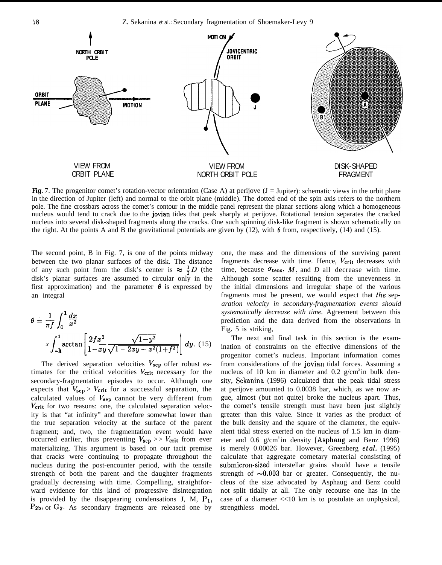

**Fig.** 7. The progenitor comet's rotation-vector orientation (Case A) at perijove (J = Jupiter): schematic views in the orbit plane in the direction of Jupiter (left) and normal to the orbit plane (middle). The dotted end of the spin axis refers to the northern pole. The fine crossbars across the comet's contour in the middle panel represent the planar sections along which a homogeneous nucleus would tend to crack due to the jovian tides that peak sharply at perijove. Rotational tension separates the cracked nucleus into several disk-shaped fragments along the cracks. One such spinning disk-like fragment is shown schematically on the right. At the points A and B the gravitational potentials are given by (12), with  $\theta$  from, respectively, (14) and (15).

The second point, B in Fig. 7, is one of the points midway between the two planar surfaces of the disk. The distance of any such point from the disk's center is  $\approx \frac{1}{2}D$  (the disk's planar surfaces are assumed to circular only in the first approximation) and the parameter  $\theta$  is expressed by an integral

$$
\theta = \frac{1}{\pi f} \int_0^1 \frac{dx}{x^2}
$$

$$
x \int_{-\mathbf{h}}^1 \arctan\left[\frac{2fx^2}{1 - xy}\frac{\sqrt{1 - y^2}}{\sqrt{1 - 2xy + x^2(1 + f^2)}}\right] dy. (15)
$$

The derived separation velocities  $V_{\text{sep}}$  offer robust estimates for the critical velocities  $V_{\text{crit}}$  necessary for the secondary-fragmentation episodes to occur. Although one expects that  $V_{\text{sep}} > V_{\text{crit}}$  for a successful separation, the calculated values of  $V_{\text{sep}}$  cannot be very different from *Vcrit* for two reasons: one, the calculated separation velocity is that "at infinity" and therefore somewhat lower than the true separation velocity at the surface of the parent fragment; and, two, the fragmentation event would have occurred earlier, thus preventing  $V_{\text{sep}} >> V_{\text{crit}}$  from ever materializing. This argument is based on our tacit premise that cracks were continuing to propagate throughout the nucleus during the post-encounter period, with the tensile strength of both the parent and the daughter fragments gradually decreasing with time. Compelling, straightforward evidence for this kind of progressive disintegration is provided by the disappearing condensations J, M,  $P_1$ ,  $P_{2b}$ , or  $G_2$ . As secondary fragments are released one by

one, the mass and the dimensions of the surviving parent fragments decrease with time. Hence,  $V_{\text{crit}}$  decreases with time, because  $\sigma_{\text{tens}}$ , *M*, and *D* all decrease with time. Although some scatter resulting from the unevenness in the initial dimensions and irregular shape of the various fragments must be present, we would expect that the sep*aration velocity in secondary-fragmentation events should systematically decrease with time.* Agreement between this prediction and the data derived from the observations in Fig. 5 is striking,

The next and final task in this section is the examination of constraints on the effective dimensions of the progenitor comet's nucleus. Important information comes from considerations of the jovian tidal forces. Assuming a nucleus of 10 km in diameter and 0.2  $g/cm^3$  in bulk density, Sekanina (1996) calculated that the peak tidal stress at perijove amounted to 0.0038 bar, which, as we now argue, almost (but not quite) broke the nucleus apart. Thus, the comet's tensile strength must have been just slightly greater than this value. Since it varies as the product of the bulk density and the square of the diameter, the equivalent tidal stress exerted on the nucleus of 1.5 km in diameter and  $0.6$  g/cm<sup>3</sup> in density (Asphaug and Benz 1996) is merely  $0.00026$  bar. However, Greenberg *et al.* (1995) calculate that aggregate cometary material consisting of submicron-sized interstellar grains should have a tensile strength of  $\sim 0.003$  bar or greater. Consequently, the nucleus of the size advocated by Asphaug and Benz could not split tidally at all. The only recourse one has in the case of a diameter <<10 km is to postulate an unphysical, strengthless model.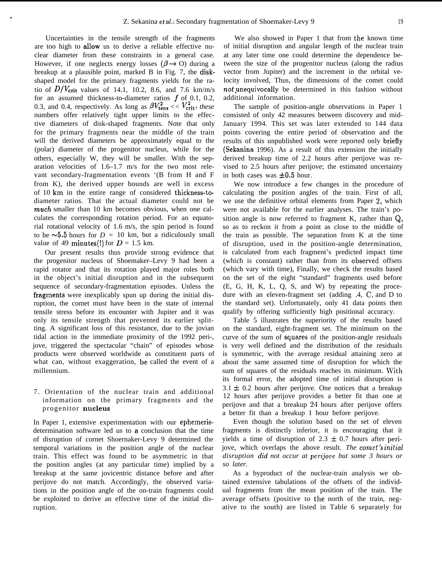Uncertainties in the tensile strength of the fragments are too high to allow us to derive a reliable effective nuclear diameter from these constraints in a general case. However, if one neglects energy losses ( $\beta \rightarrow O$ ) during a breakup at a plausible point, marked B in Fig. 7, the diskshaped model for the primary fragments yields for the ratio of  $D/V_{\text{crit}}$  values of 14.1, 10.2, 8.6, and 7.6 km/m/s for an assumed thickness-to-diameter ratios  $f$  of 0.1, 0.2, 0.3, and 0.4, respectively. As long as  $\beta V_{\text{tens}}^2 \ll V_{\text{crit}}^2$ , these numbers offer relatively tight upper limits to the effective diameters of disk-shaped fragments. Note that only for the primary fragments near the middle of the train will the derived diameters be approximately equal to the (polar) diameter of the progenitor nucleus, while for the others, especially W, they will be smaller. With the separation velocities of 1.6–1.7 m/s for the two most relevant secondary-fragmentation events '(B from H and F from K), the derived upper bounds are well in excess of 10 km in the entire range of considered thickness-todiameter ratios. That the actual diameter could not be much smaller than 10 km becomes obvious, when one calculates the corresponding rotation period. For an equatorial rotational velocity of 1.6 m/s, the spin period is found to be  $\sim 5.5$  hours for  $D = 10$  km, but a ridiculously small value of 49 minutes(!) for  $D = 1.5$  km.

.

Our present results thus provide strong evidence that the progenitor nucleus of Shoemaker–Levy 9 had been a rapid rotator and that its rotation played major roles both in the object's initial disruption and in the subsequent sequence of secondary-fragmentation episodes. Unless the fragments were inexplicably spun up during the initial disruption, the comet must have been in the state of internal tensile stress before its encounter with Jupiter and it was only its tensile strength that prevented its earlier splitting. A significant loss of this resistance, due to the jovian tidal action in the immediate proximity of the 1992 peri-, jove, triggered the spectacular "chain" of episodes whose products were observed worldwide as constituent parts of what can, without exaggeration, be called the event of a millennium.

## 7. Orientation of the nuclear train and additional information on the primary fragments and the progenitor nucleus

In Paper 1, extensive experimentation with our ephemerisdetermination software led us to a conclusion that the time of disruption of cornet Shoernaker-Levy 9 determined the temporal variations in the position angle of the nuclear train. This effect was found to be asymmetric in that the position angles (at any particular time) implied by a breakup at the same jovicentric distance before and after perijove do not match. Accordingly, the observed variations in the position angle of the on-train fragments could be exploited to derive an effective time of the initial disruption.

We also showed in Paper 1 that from the known time of initial disruption and angular length of the nuclear train at any later time one could determine the dependence between the size of the progenitor nucleus (along the radius vector from Jupiter) and the increment in the orbital velocity involved, Thus, the dimensions of the comet could *not* unequivocally be determined in this fashion without additional information.

The sample of position-angle observations in Paper 1 consisted of only 42 measures between discovery and mid-January 1994. This set was later extended to 144 data points covering the entire period of observation and the results of this unpublished work were reported only briefly (Sekanina 1996). As a result of this extension the initially derived breakup time of 2.2 hours after perijove was revised to 2.5 hours after perijove; the estimated uncertainty in both cases was  $\pm 0.5$  hour.

We now introduce a few changes in the procedure of calculating the position angles of the train. First of all, we use the definitive orbital elements from Paper 2, which were not available for the earlier analyses. The train's position angle is now referred to fragment K, rather than Q, so as to reckon it from a point as close to the middle of the train as possible. The separation from K at the time of disruption, used in the position-angle determination, is calculated from each fragment's predicted impact time (which is constant) rather than from its observed offsets (which vary with time), Finally, we check the results based on the set of the eight "standard" fragments used before (E, G, H, K, L, Q, S, and W) by repeating the procedure with an eleven-fragment set (adding .4, C, and D to the standard set). Unfortunately, only 41 data points then qualify by offering sufficiently high positional accuracy.

Table 5 illustrates the superiority of the results based on the standard, eight-fragment set. The minimum on the curve of the sum of squares of the position-angle residuals is very well defined and the distribution of the residuals is symmetric, with the average residual attaining zero at about the same assumed time of disruption for which the sum of squares of the residuals reaches its minimum. With its formal error, the adopted time of initial disruption is  $3.1 \pm 0.2$  hours after perijove. One notices that a breakup 12 hours after perijove provides a better fit than one at perijove and that a breakup 24 hours after perijove offers a better fit than a breakup 1 hour before perijove.

Even though the solution based on the set of eleven fragments is distinctly inferior, it is encouraging that it yields a time of disruption of  $2.3 \pm 0.7$  hours after perijove, which overlaps the above result. *The comet's initial disruption did not occur at perijot!e but some 3 hours or so later.*

As a byproduct of the nuclear-train analysis we obtained extensive tabulations of the offsets of the individual fragments from the mean position of the train. The average offsets (positive to the north of the train, negative to the south) are listed in Table 6 separately for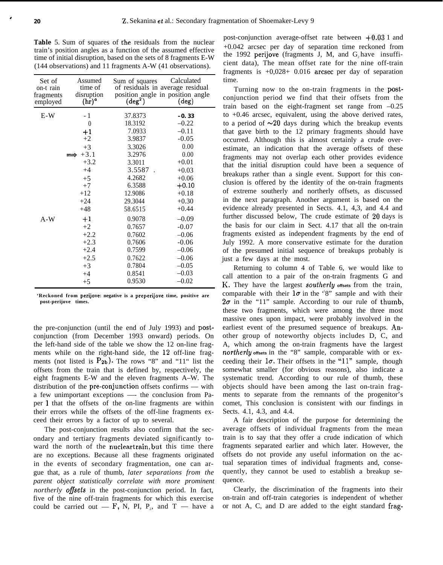,

Table 5. Sum of squares of the residuals from the nuclear train's position angles as a function of the assumed effective time of initial disruption, based on the sets of 8 fragments E-W (144 observations) and 11 fragments A-W (41 observations).

| Set of<br>on-t rain<br>fragments<br>employed | Assumed<br>time of<br>disruption<br>$(hr)^a$ | Sum of squares<br>$(\text{deg}^2)$ | Calculated<br>of residuals in average residual<br>position angle in position angle<br>$(\text{deg})$ |
|----------------------------------------------|----------------------------------------------|------------------------------------|------------------------------------------------------------------------------------------------------|
| $E-W$                                        | - 1                                          | 37.8373                            | $-0.33$                                                                                              |
|                                              | $\theta$                                     | 18.3192                            | $-0.22$                                                                                              |
|                                              | $+1$                                         | 7.0933                             | $-0.11$                                                                                              |
|                                              | $+2$                                         | 3.9837                             | $-0.05$                                                                                              |
|                                              | $+3$                                         | 3.3026                             | 0.00                                                                                                 |
|                                              | $+3.1$                                       | 3.2976                             | 0.00                                                                                                 |
|                                              | $+3.2$                                       | 3.3011                             | $+0.01$                                                                                              |
|                                              | $+4$                                         | 3.5587                             | $+0.03$                                                                                              |
|                                              | $+5$                                         | 4.2682                             | $+0.06$                                                                                              |
|                                              | $+7$                                         | 6.3588                             | $+0.10$                                                                                              |
|                                              | $+12$                                        | 12.9086                            | $+0.18$                                                                                              |
|                                              | $+24$                                        | 29.3044                            | $+0.30$                                                                                              |
|                                              | $+48$                                        | 58.6515                            | $+0.44$                                                                                              |
| $A-W$                                        | $+1$                                         | 0.9078                             | $-0.09$                                                                                              |
|                                              | $+2$                                         | 0.7657                             | $-0.07$                                                                                              |
|                                              | $+2.2$                                       | 0.7602                             | $-0.06$                                                                                              |
|                                              | $+2.3$                                       | 0.7606                             | $-0.06$                                                                                              |
|                                              | $+2.4$                                       | 0.7599                             | $-0.06$                                                                                              |
|                                              | $+2.5$                                       | 0.7622                             | $-0.06$                                                                                              |
|                                              | $+3$                                         | 0.7804                             | $-0.05$                                                                                              |
|                                              | $+4$                                         | 0.8541                             | $-0.03$                                                                                              |
|                                              | $+5$                                         | 0.9530                             | $-0.02$                                                                                              |

**'Reckoned from perijove: negative is a preperijove time, positive are post-perijove times.**

the pre-conjunction (until the end of July 1993) and postconjunction (from December 1993 onward) periods. On the left-hand side of the table we show the 12 on-line fragments while on the right-hand side, the 12 off-line fragments (not listed is  $P_{2b}$ ). The rows "8" and "11" list the offsets from the train that is defined by, respectively, the eight fragments E-W and the eleven fragments A–W. The distribution of the pre-conjunction offsets confirms — with a few unimportant exceptions —- the conclusion from Paper 1 that the offsets of the on-line fragments are within their errors while the offsets of the off-line fragments exceed their errors by a factor of up to several.

The post-conjunction results also confirm that the secondary and tertiary fragments deviated significantly toward the north of the nucleartrain, but this time there are no exceptions. Because all these fragments originated in the events of secondary fragmentation, one can argue that, as a rule of thumb, *later separations from the parent object statistically correlate with more prominent northerly offsets* in the post-conjunction period. In fact, five of the nine off-train fragments for which this exercise could be carried out  $-$  F, N, PI, P<sub>2</sub>, and T  $-$  have a

post-conjunction average-offset rate between +0.03 1 and +0.042 arcsec per day of separation time reckoned from the 1992 perijove (fragments J, M, and  $G<sub>z</sub>$  have insufficient data), The mean offset rate for the nine off-train fragments is  $+0.028+0.016$  arcsec per day of separation time.

Turning now to the on-train fragments in the postconjunction period we find that their offsets from the train based on the eight-fragment set range from –0.25 to +0.46 arcsec, equivalent, using the above derived rates, to a period of  $\sim 20$  days during which the breakup events that gave birth to the 12 primary fragments should have occurred. Although this is almost certainly a crude overestimate, an indication that the average offsets of these fragments may not overlap each other provides evidence that the initial disruption could have been a sequence of breakups rather than a single event. Support for this conclusion is offered by the identity of the on-train fragments of extreme southerly and northerly offsets, as discussed in the next paragraph. Another argument is based on the evidence already presented in Sects. 4.1, 4,3, and 4.4 and further discussed below, The crude estimate of 20 days is the basis for our claim in Sect. 4.17 that all the on-train fragments existed as independent fragments by the end of July 1992. A more conservative estimate for the duration of the presumed initial sequence of breakups probably is just a few days at the most.

Returning to column 4 of Table 6, we would like to call attention to a pair of the on-train fragments G and K, They have the largest *southerly* **offsets** from the train, comparable with their  $1\sigma$  in the '8" sample and with their  $2\sigma$  in the "11" sample. According to our rule of thumb, these two fragments, which were among the three most massive ones upon impact, were probably involved in the earliest event of the presumed sequence of breakups. Another group of noteworthy objects includes D, C, and A, which among the on-train fragments have the largest *northerty* **offsets** in the "8" sample, comparable with or exceeding their  $1\sigma$ . Their offsets in the "11" sample, though somewhat smaller (for obvious reasons), also indicate a systematic trend. According to our rule of thumb, these objects should have been among the last on-train fragments to separate from the remnants of the progenitor's comet, This conclusion is consistent with our findings in Sects. 4.1, 4.3, and 4.4.

A fair description of the purpose for determining the average offsets of individual fragments from the mean train is to say that they offer a crude indication of which fragments separated earlier and which later. However, the offsets do not provide any useful information on the actual separation times of individual fragments and, consequently, they cannot be used to establish a breakup sequence.

Clearly, the discrimination of the fragments into their on-train and off-train categories is independent of whether or not A, C, and D are added to the eight standard frag-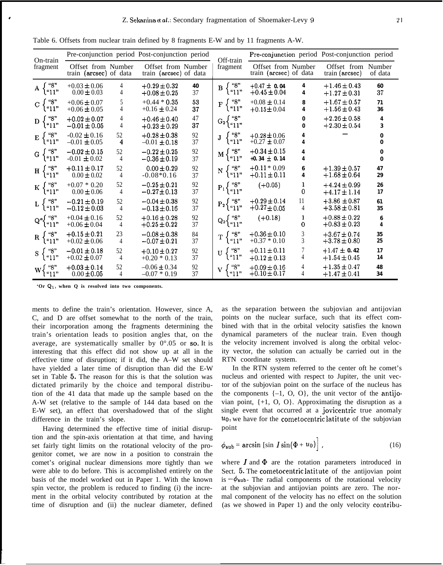| On-train               |                                              |                      | Pre-conjunction period Post-conjunction period |          | Off-train                                    | Pre-conjunction period Post-conjunction period |                                  |                                      |                         |  |
|------------------------|----------------------------------------------|----------------------|------------------------------------------------|----------|----------------------------------------------|------------------------------------------------|----------------------------------|--------------------------------------|-------------------------|--|
| fragment               | Offset from Number<br>train (arcsec) of data |                      | Offset from Number<br>train (arcsec) of data   |          | fragment                                     | Offset from Number<br>train (arcsec) of data   |                                  | Offset from Number<br>train (arcsec) | of data                 |  |
| "8"<br>A<br>"11"       | $+0.03 \pm 0.06$<br>$0.00 \pm 0.03$          | 4<br>4               | $+0.29 \pm 0.32$<br>$+0.08 \pm 0.25$           | 40<br>37 | "8"<br>B<br>"11"                             | $+0.47 \pm 0.04$<br>$+0.45 \pm 0.04$           | 4<br>4                           | $+1.46 \pm 0.43$<br>$+1.27 \pm 0.31$ | 60<br>37                |  |
| "8"<br>C<br>("11"      | $+0.06 \pm 0.07$<br>$+0.06 \pm 0.05$         | 5<br>4               | $+0.44 * 0.35$<br>$+0.16 \pm 0.24$             | 53<br>37 | "8"<br>$\mathbf F$<br>"11"                   | $+0.08 \pm 0.14$<br>$+0.15 \pm 0.04$           | 8<br>4                           | $+1.67 \pm 0.57$<br>$+1.56 \pm 0.43$ | 71<br>36                |  |
| "8"<br>D<br>"11"       | $+0.02 \pm 0.07$<br>$-0.01 \pm 0.05$         | 4<br>4               | $+0.46 \pm 0.40$<br>$+0.23 \pm 0.29$           | 47<br>37 | "8"<br>$G_2\left(\prod_{i=1}^{n} n_i\right)$ |                                                | $\mathbf 0$<br>$\Omega$          | $+2.26 \pm 0.58$<br>$+2.30 \pm 0.54$ | 4<br>3                  |  |
| "8"<br>E<br>"11"       | $-0.02 \pm 0.16$<br>$-0.01 \pm 0.05$         | 52<br>4              | $+0.28 \pm 0.38$<br>$-0.01 \pm 0.18$           | 92<br>37 | "8"<br>J<br>"11"                             | $+0.28 \pm 0.06$<br>$+0.27 \pm 0.07$           | $\overline{4}$<br>$\overline{4}$ |                                      | $\Omega$<br>$\Omega$    |  |
| "8"<br>G<br>l"11"      | $-0.02 \pm 0.15$<br>$-0.01 \pm 0.02$         | 52<br>$\overline{4}$ | $-0.22 \pm 0.25$<br>$-0.36 \pm 0.19$           | 92<br>37 | "8"<br>М<br>"11"                             | $+0.34 \pm 0.15$<br>$+0.34 \pm 0.14$           | $\overline{4}$<br>$\overline{4}$ |                                      | $\mathbf 0$<br>$\Omega$ |  |
| "8"<br>H<br>"11"       | $+0.11 \pm 0.17$<br>$0.00 \pm 0.02$          | 52<br>4              | $0.00 \pm 0.29$<br>$-0.08*0.16$                | 92<br>37 | "8"<br>N<br>" $11$ "                         | $+0.11 * 0.09$<br>$+0.11 \pm 0.11$             | 6<br>4                           | $+1.39 \pm 0.57$<br>$+1.68 \pm 0.64$ | 47<br>29                |  |
| "8"<br>K<br>"11"       | $+0.07 * 0.20$<br>$0.00 \pm 0.06$            | 52<br>4              | $-0.25 \pm 0.21$<br>$-0.27 \pm 0.13$           | 92<br>37 | "8"<br>$P_1$ }<br>"11"                       | $(+0.05)$                                      | 1<br>0                           | $+4.24 \pm 0.99$<br>$+4.17 \pm 1.14$ | 26<br>17                |  |
| "8"<br>"11"            | $-0.21 \pm 0.19$<br>$-0.12 \pm 0.03$         | 52<br>$\overline{4}$ | $-0.04 \pm 0.38$<br>$-0.13 \pm 0.16$           | 92<br>37 | "8"<br>$P_2\langle$<br>" $11$ "              | $+0.29 \pm 0.14$<br>$+0.27 \pm 0.05$           | 11<br>4                          | $+3.86 \pm 0.87$<br>$+3.58 \pm 0.81$ | 61<br>35                |  |
| "8"<br>$Q^a$<br>l"11"  | $+0.04 \pm 0.16$<br>$+0.06 \pm 0.04$         | 52<br>4              | $+0.16 \pm 0.28$<br>$+0.25 \pm 0.22$           | 92<br>37 | "8"<br>$Q_2\{q_1\}$                          | $(+0.18)$                                      | 1<br>0                           | $+0.88 \pm 0.22$<br>$+0.83 \pm 0.23$ | 6<br>$\overline{4}$     |  |
| "8"<br>$\bf R$<br>"11" | $+0.15 \pm 0.21$<br>$+0.02 \pm 0.06$         | 23<br>4              | $-0.08 \pm 0.38$<br>$-0.07 \pm 0.21$           | 84<br>37 | "8"<br>T<br>"11"                             | $+0.36 \pm 0.10$<br>$+0.37 * 0.10$             | $\sqrt{3}$<br>$\overline{3}$     | $+3.67 \pm 0.74$<br>$+3.78 \pm 0.80$ | 35<br>25                |  |
| "8"<br>S.<br>"11"      | $-0.01 \pm 0.18$<br>$+0.02 \pm 0.07$         | 52<br>4              | $+0.10 \pm 0.27$<br>$+0.20 * 0.13$             | 92<br>37 | "8"<br>U<br>"11"                             | $+0.11 \pm 0.11$<br>$+0.12 \pm 0.13$           | 7<br>$\overline{4}$              | $+1.47 \pm 0.42$<br>$+1.54 \pm 0.45$ | 17<br>14                |  |
| "8"<br>w۰<br>l "11"    | $+0.03 \pm 0.14$<br>$0.00 \pm 0.05$          | 52<br>4              | $-0.06 \pm 0.34$<br>$-0.07 * 0.19$             | 92<br>37 | "8"<br>l "11"                                | $+0.09 \pm 0.16$<br>$+0.10 \pm 0.17$           | 4<br>4                           | $+1.35 \pm 0.47$<br>$+1.47 \pm 0.41$ | 48<br>34                |  |

Table 6. Offsets from nuclear train defined by 8 fragments E-W and by 11 fragments A-W.

**'Or Q,, when Q is resolved into two components.**

ments to define the train's orientation. However, since A, C, and D are offset somewhat to the north of the train, their incorporation among the fragments determining the train's orientation leads to position angles that, on the average, are systematically smaller by  $0^{\circ}.05$  or so. It is interesting that this effect did not show up at all in the effective time of disruption; if it did, the A–W set should have yielded a later time of disruption than did the E-W set in Table 5. The reason for this is that the solution was dictated primarily by the choice and temporal distribution of the 41 data that made up the sample based on the A-W set (relative to the sample of 144 data based on the E-W set), an effect that overshadowed that of the slight difference in the train's slope.

Having determined the effective time of initial disruption and the spin-axis orientation at that time, and having set fairly tight limits on the rotational velocity of the progenitor comet, we are now in a position to constrain the comet's original nuclear dimensions more tightly than we were able to do before. This is accomplished entirely on the basis of the model worked out in Paper 1. With the known spin vector, the problem is reduced to finding (i) the increment in the orbital velocity contributed by rotation at the time of disruption and (ii) the nuclear diameter, defined as the separation between the subjovian and antijovian points on the nuclear surface, such that its effect combined with that in the orbital velocity satisfies the known dynamical parameters of the nuclear train. Even though the velocity increment involved is along the orbital velocity vector, the solution can actually be carried out in the RTN coordinate system.

In the RTN system referred to the center oft he comet's nucleus and oriented with respect to Jupiter, the unit vector of the subjovian point on the surface of the nucleus has the components  $\{-1, 0, 0\}$ , the unit vector of the antijovian point,  $\{+1, 0, 0\}$ . Approximating the disruption as a single event that occurred at a jovicentric true anomaly  $u_0$ , we have for the cometocentric latitute of the subjovian point

$$
\phi_{\text{sub}} = \arcsin\left[\sin I \sin(\Phi + u_0)\right],\tag{16}
$$

where  $I$  and  $\Phi$  are the rotation parameters introduced in Sect. 5. The cometocentric latitute of the antijovian point is  $-\phi_{sub}$ . The radial components of the rotational velocity at the subjovian and antijovian points are zero. The normal component of the velocity has no effect on the solution (as we showed in Paper 1) and the only velocity contribu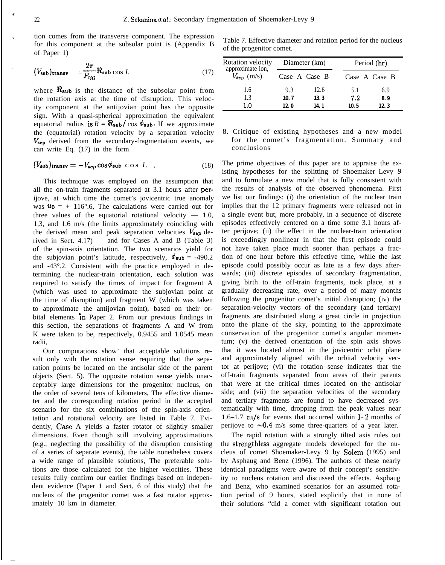tion comes from the transverse component. The expression for this component at the subsolar point is (Appendix B of Paper 1)

$$
(V_{\text{sub}})_{\text{transv}} = \frac{2\pi}{P_{\text{rot}}} \Re_{\text{sub}} \cos I,\tag{17}
$$

where  $\Re_{\text{sub}}$  is the distance of the subsolar point from the rotation axis at the time of disruption. This velocity component at the antijovian point has the opposite sign. With a quasi-spherical approximation the equivalent equatorial radius is  $\vec{R} = \Re \sinh/cos \phi \sinh \theta$ . If we approximate the (equatorial) rotation velocity by a separation velocity  $V_{\rm sep}$  derived from the secondary-fragmentation events, we can write Eq. (17) in the form

$$
(V_{\text{sub}})_{\text{transv}} = -V_{\text{sep}} \cos \phi_{\text{sub}} \cos I. \quad , \tag{18}
$$

This technique was employed on the assumption that all the on-train fragments separated at 3.1 hours after perijove, at which time the comet's jovicentric true anomaly was  $u_0 = + 116^{\circ}$ .6, The calculations were carried out for three values of the equatorial rotational velocity  $-1.0$ , 1,3, and 1.6 m/s (the limits approximately coinciding with the derived mean and peak separation velocities  $V_{\rm sep}$  derived in Sect.  $4.17$ ) — and for Cases A and B (Table 3) of the spin-axis orientation. The two scenarios yield for the subjovian point's latitude, respectively,  $\phi_{\text{sub}} = -490.2$ and -43°.2. Consistent with the practice employed in determining the nuclear-train orientation, each solution was required to satisfy the times of impact for fragment A (which was used to approximate the subjovian point at the time of disruption) and fragment W (which was taken to approximate the antijovian point), based on their orbital elements in Paper 2. From our previous findings in this section, the separations of fragments A and W from K were taken to be, respectively, 0.9455 and 1.0545 mean radii,

Our computations show' that acceptable solutions result only with the rotation sense requiring that the separation points be located on the antisolar side of the parent objects (Sect. 5). The opposite rotation sense yields unacceptably large dimensions for the progenitor nucleus, on the order of several tens of kilometers, The effective diameter and the corresponding rotation period in the accepted scenario for the six combinations of the spin-axis orientation and rotational velocity are listed in Table 7. Evidently, Case A yields a faster rotator of slightly smaller dimensions. Even though still involving approximations (e.g., neglecting the possibility of the disruption consisting of a series of separate events), the table nonetheless covers a wide range of plausible solutions, The preferable solutions are those calculated for the higher velocities. These results fully confirm our earlier findings based on independent evidence (Paper 1 and Sect, 6 of this study) that the nucleus of the progenitor comet was a fast rotator approximately 10 km in diameter.

Table 7. Effective diameter and rotation period for the nucleus of the progenitor comet.

| Rotation velocity<br>approximate ion, |      | Diameter (km) | Period (hr) |               |  |  |
|---------------------------------------|------|---------------|-------------|---------------|--|--|
| $V_{\rm sep}$ (m/s)                   |      | Case A Case B |             | Case A Case B |  |  |
| 1.6                                   | 9.3  | 12.6          | 5.1         | 6.9           |  |  |
| 1.3                                   | 10.7 | 13.3          | 7.2         | 89            |  |  |
| 1.0                                   | 12 N | 14.1          | 10 5        | 123           |  |  |

8. Critique of existing hypotheses and a new model for the comet's fragmentation. Summary and conclusions

The prime objectives of this paper are to appraise the existing hypotheses for the splitting of Shoemaker–Levy 9 and to formulate a new model that is fully consistent with the results of analysis of the observed phenomena. First we list our findings: (i) the orientation of the nuclear train implies that the 12 primary fragments were released not in a single event but, more probably, in a sequence of discrete episodes effectively centered on a time some 3.1 hours after perijove; (ii) the effect in the nuclear-train orientation is exceedingly nonlinear in that the first episode could not have taken place much sooner than perhaps a fraction of one hour before this effective time, while the last episode could possibly occur as late as a few days afterwards; (iii) discrete episodes of secondary fragmentation, giving birth to the off-train fragments, took place, at a gradually decreasing rate, over a period of many months following the progenitor comet's initial disruption; (iv) the separation-velocity vectors of the secondary (and tertiary) fragments are distributed along a great circle in projection onto the plane of the sky, pointing to the approximate conservation of the progenitor comet's angular momentum; (v) the derived orientation of the spin axis shows that it was located almost in the jovicentric orbit plane and approximately aligned with the orbital velocity vector at perijove; (vi) the rotation sense indicates that the off-train fragments separated from areas of their parents that were at the critical times located on the antisolar side; and (vii) the separation velocities of the secondary and tertiary fragments are found to have decreased systematically with time, dropping from the peak values near 1.6–1.7  $m/s$  for events that occurred within 1–2 months of perijove to  $\sim 0.4$  m/s some three-quarters of a year later.

The rapid rotation with a strongly tilted axis rules out the strengthless aggregate models developed for the nucleus of comet Shoemaker-Levy 9 by Solem (1995) and by Asphaug and Benz (1996). The authors of these nearly identical paradigms were aware of their concept's sensitivity to nucleus rotation and discussed the effects. Asphaug and Benz, who examined scenarios for an assumed rotation period of 9 hours, stated explicitly that in none of their solutions "did a comet with significant rotation out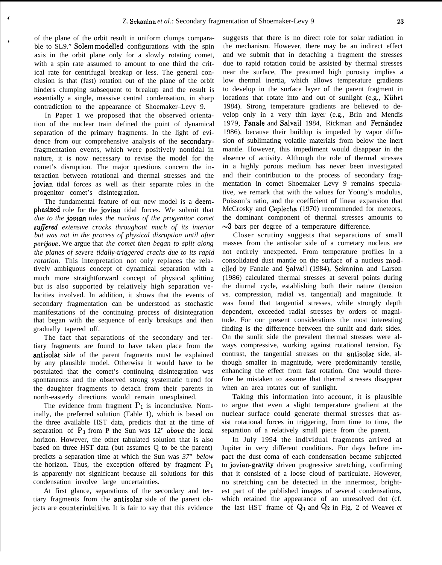of the plane of the orbit result in uniform clumps comparable to SL9." Solem modelled configurations with the spin axis in the orbit plane only for a slowly rotating comet, with a spin rate assumed to amount to one third the critical rate for centrifugal breakup or less. The general conclusion is that (fast) rotation out of the plane of the orbit hinders clumping subsequent to breakup and the result is essentially a single, massive central condensation, in sharp contradiction to the appearance of Shoemaker–Levy 9.

**r**

In Paper 1 we proposed that the observed orientation of the nuclear train defined the point of dynamical separation of the primary fragments. In the light of evidence from our comprehensive analysis of the secondaryfragmentation events, which were positively nontidal in nature, it is now necessary to revise the model for the comet's disruption. The major questions concern the interaction between rotational and thermal stresses and the jovian tidal forces as well as their separate roles in the progenitor comet's disintegration.

The fundamental feature of our new model is a deemphasized role for the jovian tidal forces. We submit that *due to the joviun tides the nucleus of the progenitor comet sufiered extensive cracks throughout much of its interior but was not in the process of physical disruption until after perijove.* We argue that *the comet then began to split along the planes of severe tidally-triggered cracks due to its rapid rotation.* This interpretation not only replaces the relatively ambiguous concept of dynamical separation with a much more straightforward concept of physical splitting but is also supported by relatively high separation velocities involved. In addition, it shows that the events of secondary fragmentation can be understood as stochastic manifestations of the continuing process of disintegration that began with the sequence of early breakups and then gradually tapered off.

The fact that separations of the secondary and tertiary fragments are found to have taken place from the antisolar side of the parent fragments must be explained by any plausible model. Otherwise it would have to be postulated that the comet's continuing disintegration was spontaneous and the observed strong systematic trend for the daughter fragments to detach from their parents in north-easterly directions would remain unexplained.

The evidence from fragment  $P_1$  is inconclusive. Nominally, the preferred solution (Table 1), which is based on the three available HST data, predicts that at the time of separation of  $P_1$  from P the Sun was  $12^{\circ}$  *above* the local horizon. However, the other tabulated solution that is also based on three HST data (but assumes Q to be the parent) predicts a separation time at which the Sun was *37° below* the horizon. Thus, the exception offered by fragment  $P_1$ is apparently not significant because all solutions for this condensation involve large uncertainties.

At first glance, separations of the secondary and tertiary fragments from the antisolar side of the parent objects are counterintuitive. It is fair to say that this evidence

suggests that there is no direct role for solar radiation in the mechanism. However, there may be an indirect effect and we submit that in detaching a fragment the stresses due to rapid rotation could be assisted by thermal stresses near the surface, The presumed high porosity implies a low thermal inertia, which allows temperature gradients to develop in the surface layer of the parent fragment in locations that rotate into and out of sunlight (e.g., Kührt 1984). Strong temperature gradients are believed to develop only in a very thin layer (e.g., Brin and Mendis 1979, Fanale and Salvail 1984, Rickman and Fernández 1986), because their buildup is impeded by vapor diffusion of sublimating volatile materials from below the inert mantle. However, this impediment would disappear in the absence of activity. Although the role of thermal stresses in a highly porous medium has never been investigated and their contribution to the process of secondary fragmentation in comet Shoemaker–Levy 9 remains speculative, we remark that with the values for Young's modulus, Poisson's ratio, and the coefficient of linear expansion that McCrosky and Ceplecha (1970) recommended for meteors, the dominant component of thermal stresses amounts to  $\sim$ 3 bars per degree of a temperature difference.

Closer scrutiny suggests that separations of small masses from the antisolar side of a cometary nucleus are not entirely unexpected. From temperature profiles in a consolidated dust mantle on the surface of a nucleus modelled by Fanale and Salvail (1984), Sekanina and Larson (1986) calculated thermal stresses at several points during the diurnal cycle, establishing both their nature (tension vs. compression, radial vs. tangential) and magnitude. It was found that tangential stresses, while strongly depth dependent, exceeded radial stresses by orders of magnitude. For our present considerations the most interesting finding is the difference between the sunlit and dark sides. On the sunlit side the prevalent thermal stresses were always compressive, working against rotational tension. By contrast, the tangential stresses on the antisolar side, although smaller in magnitude, were predominantly tensile, enhancing the effect from fast rotation. One would therefore be mistaken to assume that thermal stresses disappear when an area rotates out of sunlight.

Taking this information into account, it is plausible to argue that even a slight temperature gradient at the nuclear surface could generate thermal stresses that assist rotational forces in triggering, from time to time, the separation of a relatively small piece from the parent.

In July 1994 the individual fragments arrived at Jupiter in very different conditions. For days before impact the dust coma of each condensation became subjected to jovian-gravity driven progressive stretching, confirming that it consisted of a loose cloud of particulate. However, no stretching can be detected in the innermost, brightest part of the published images of several condensations, which retained the appearance of an unresolved dot (cf. the last HST frame of  $Q_1$  and  $Q_2$  in Fig. 2 of Weaver *et*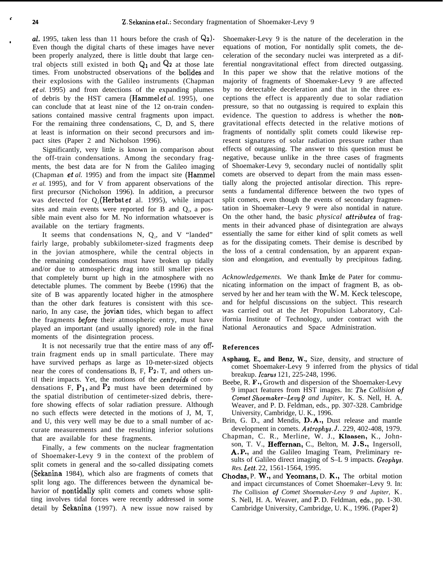{

al, 1995, taken less than 11 hours before the crash of  $\mathbb{Q}_2$ . Even though the digital charts of these images have never been properly analyzed, there is little doubt that large central objects still existed in both  $Q_1$  and  $Q_2$  at those late times. From unobstructed observations of the bolides and their explosions with the Galileo instruments (Chapman et *al.* 1995) and from detections of the expanding plumes of debris by the HST camera (Hammel et *al.* 1995), one can conclude that at least nine of the 12 on-train condensations contained massive central fragments upon impact. For the remaining three condensations, C, D, and S, there at least is information on their second precursors and impact sites (Paper 2 and Nicholson 1996).

Significantly, very little is known in comparison about the off-train condensations. Among the secondary fragments, the best data are for N from the Galileo imaging (Chapman et *al.* 1995) and from the impact site (Hammel *et al.* 1995), and for V from apparent observations of the first precursor (Nicholson 1996). In addition, a precursor was detected for  $Q_2$  (Herbst *et* al. 1995), while impact sites and main events were reported for B and  $Q_2$ , a possible main event also for M. No information whatsoever is available on the tertiary fragments.

It seems that condensations  $N$ ,  $Q_2$ , and V "landed" fairly large, probably subkilometer-sized fragments deep in the jovian atmosphere, while the central objects in the remaining condensations must have broken up tidally and/or due to atmospheric drag into still smaller pieces that completely burnt up high in the atmosphere with no detectable plumes. The comment by Beebe (1996) that the site of B was apparently located higher in the atmosphere than the other dark features is consistent with this scenario, In any case, the jovian tides, which began to affect the fragments before their atmospheric entry, must have played an important (and usually ignored) role in the final moments of the disintegration process.

It is not necessarily true that the entire mass of any offtrain fragment ends up in small particulate. There may have survived perhaps as large as 10-meter-sized objects near the cores of condensations B, F,  $P_2$ , T, and others until their impacts. Yet, the motions of the centroids of condensations  $F$ ,  $P_1$ , and  $P_2$  must have been determined by the spatial distribution of centimeter-sized debris, therefore showing effects of solar radiation pressure. Although no such effects were detected in the motions of J, M, T, and U, this very well may be due to a small number of accurate measurements and the resulting inferior solutions that are available for these fragments.

Finally, a few comments on the nuclear fragmentation of Shoemaker-Levy 9 in the context of the problem of split comets in general and the so-called dissipating comets (Sekanina 1984), which also are fragments of comets that split long ago. The differences between the dynamical behavior of nontidally split comets and comets whose splitting involves tidal forces were recently addressed in some detail by Sekanina (1997). A new issue now raised by

Shoemaker-Levy 9 is the nature of the deceleration in the equations of motion, For nontidally split comets, the deceleration of the secondary nuclei was interpreted as a differential nongravitational effect from directed outgassing. In this paper we show that the relative motions of the majority of fragments of Shoemaker-Levy 9 are affected by no detectable deceleration and that in the three exceptions the effect is apparently due to solar radiation pressure, so that no outgassing is required to explain this evidence. The question to address is whether the nongravitational effects detected in the relative motions of fragments of nontidally split comets could likewise represent signatures of solar radiation pressure rather than effects of outgassing. The answer to this question must be negative, because unlike in the three cases of fragments of Shoemaker-Levy 9, secondary nuclei of nontidally split comets are observed to depart from the main mass essentially along the projected antisolar direction. This represents a fundamental difference between the two types of split comets, even though the events of secondary fragmentation in Shoemaker–Levy 9 were also nontidal in nature. On the other hand, the basic *physical attributes* of fragments in their advanced phase of disintegration are always essentially the same for either kind of split comets as well as for the dissipating comets. Their demise is described by the loss of a central condensation, by an apparent expansion and elongation, and eventually by precipitous fading.

*Acknowledgements.* We thank Imke de Pater for communicating information on the impact of fragment B, as observed by her and her team with the W. M. Keck telescope, and for helpful discussions on the subject. This research was carried out at the Jet Propulsion Laboratory, California Institute of Technology, under contract with the National Aeronautics and Space Administration.

## **References**

- **Asphaug, E., and Benz, W.,** Size, density, and structure of comet Shoemaker-Levy 9 inferred from the physics of tidal breakup. *Icarus* 121, 225-248, 1996.
- Beebe, R. F., Growth and dispersion of the Shoemaker-Levy 9 impact features from HST images. In: The *Collision of Comet Shoemaker-Levy 9 and Jupiter, K. S. Nell, H. A.* Weaver, and P. D. Feldman, eds., pp. 307-328. Cambridge University, Cambridge, U. K., 1996.
- Brin, G. D., and Mendis, D. A., Dust release and mantle development in comets. *Astrophys. J.*. 229, 402-408, 1979.
- Chapman, C. R., Merline, W. J., Klaasen, K., Johnson, T. V., Heffernan, C., Belton, M. J.S., Ingersoll, A, P,, and the Galileo Imaging Team, Preliminary results of Galileo direct imaging of S–L 9 impacts. *Geophys. Res. Lett.* 22, 1561-1564, 1995.
- Chodas, P. W., and Yeomans, D. K., The orbital motion and impact circumstances of Comet Shoemaker–Levy 9. In: *The* Collision oj *Comet Shoemaker-Levy 9 and Jupiter,* K. S. Nell, H. A. Weaver, and P. D. Feldman, eds., pp. 1-30. Cambridge University, Cambridge, U. K., 1996. (Paper 2)